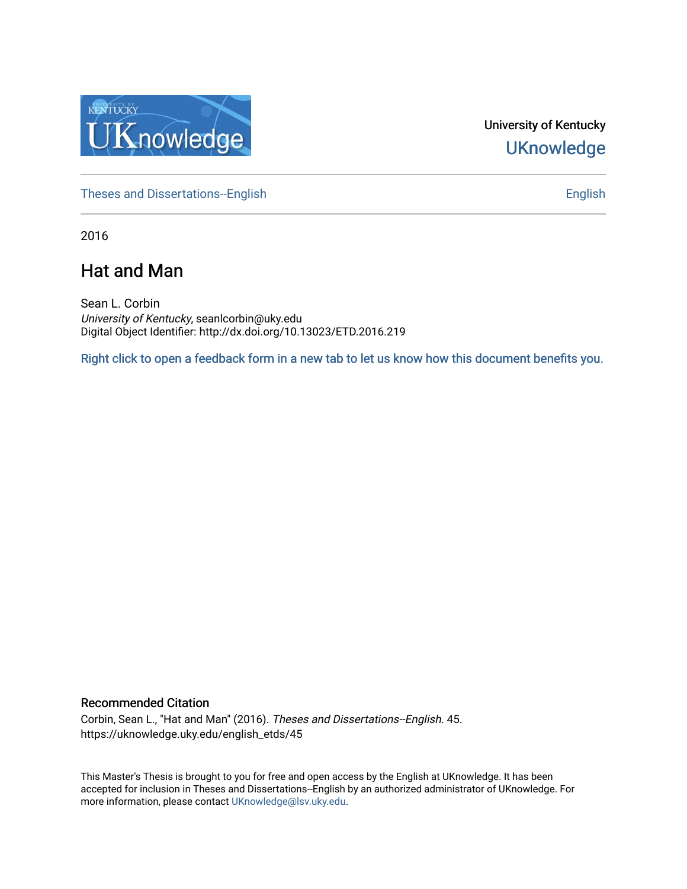

University of Kentucky **UKnowledge** 

[Theses and Dissertations--English](https://uknowledge.uky.edu/english_etds) [English](https://uknowledge.uky.edu/english) English English English

2016

# Hat and Man

Sean L. Corbin University of Kentucky, seanlcorbin@uky.edu Digital Object Identifier: http://dx.doi.org/10.13023/ETD.2016.219

[Right click to open a feedback form in a new tab to let us know how this document benefits you.](https://uky.az1.qualtrics.com/jfe/form/SV_9mq8fx2GnONRfz7)

#### Recommended Citation

Corbin, Sean L., "Hat and Man" (2016). Theses and Dissertations--English. 45. https://uknowledge.uky.edu/english\_etds/45

This Master's Thesis is brought to you for free and open access by the English at UKnowledge. It has been accepted for inclusion in Theses and Dissertations--English by an authorized administrator of UKnowledge. For more information, please contact [UKnowledge@lsv.uky.edu](mailto:UKnowledge@lsv.uky.edu).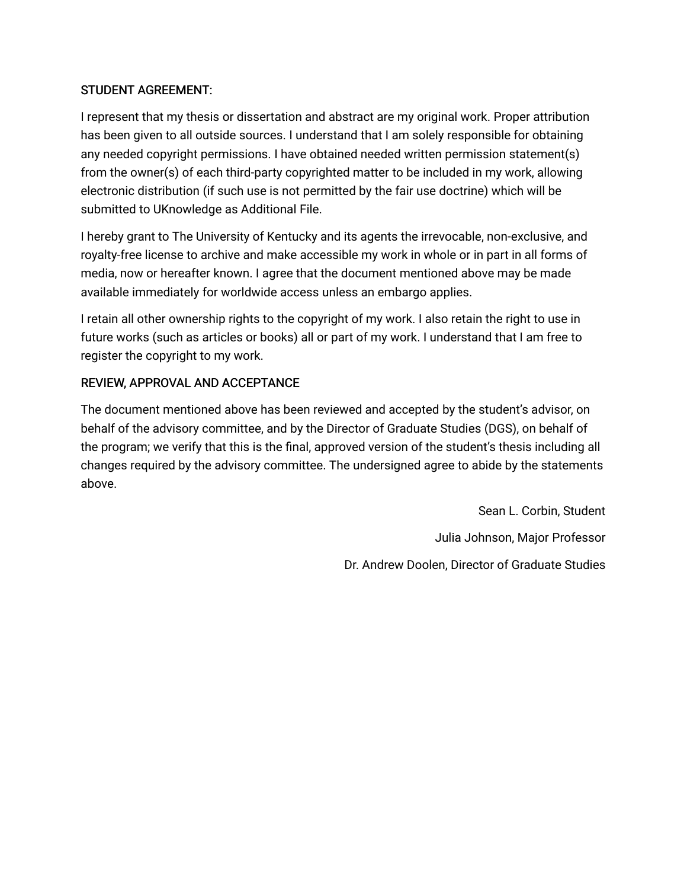## STUDENT AGREEMENT:

I represent that my thesis or dissertation and abstract are my original work. Proper attribution has been given to all outside sources. I understand that I am solely responsible for obtaining any needed copyright permissions. I have obtained needed written permission statement(s) from the owner(s) of each third-party copyrighted matter to be included in my work, allowing electronic distribution (if such use is not permitted by the fair use doctrine) which will be submitted to UKnowledge as Additional File.

I hereby grant to The University of Kentucky and its agents the irrevocable, non-exclusive, and royalty-free license to archive and make accessible my work in whole or in part in all forms of media, now or hereafter known. I agree that the document mentioned above may be made available immediately for worldwide access unless an embargo applies.

I retain all other ownership rights to the copyright of my work. I also retain the right to use in future works (such as articles or books) all or part of my work. I understand that I am free to register the copyright to my work.

## REVIEW, APPROVAL AND ACCEPTANCE

The document mentioned above has been reviewed and accepted by the student's advisor, on behalf of the advisory committee, and by the Director of Graduate Studies (DGS), on behalf of the program; we verify that this is the final, approved version of the student's thesis including all changes required by the advisory committee. The undersigned agree to abide by the statements above.

> Sean L. Corbin, Student Julia Johnson, Major Professor Dr. Andrew Doolen, Director of Graduate Studies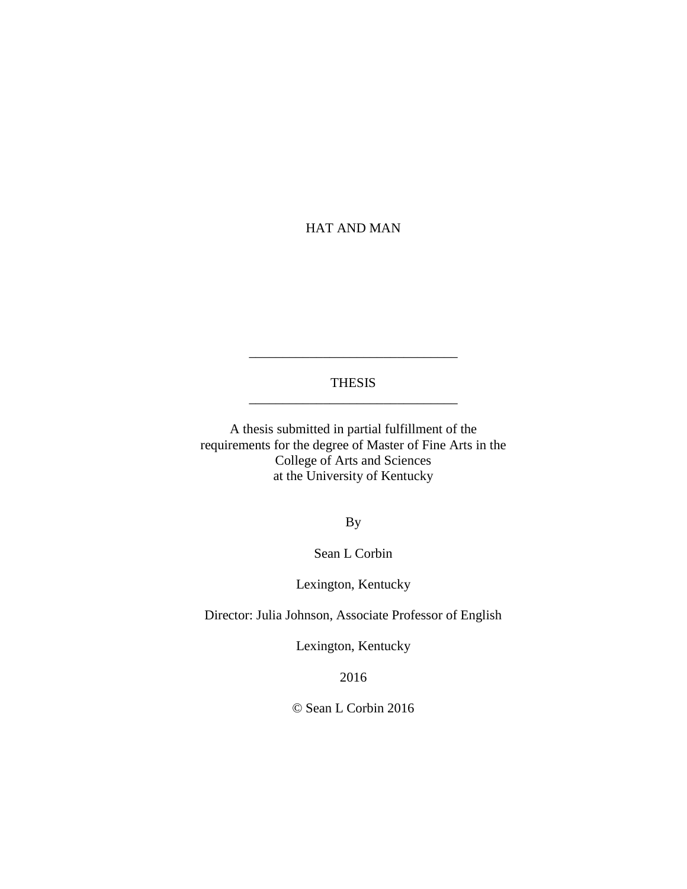## HAT AND MAN

#### THESIS \_\_\_\_\_\_\_\_\_\_\_\_\_\_\_\_\_\_\_\_\_\_\_\_\_\_\_\_\_\_\_

\_\_\_\_\_\_\_\_\_\_\_\_\_\_\_\_\_\_\_\_\_\_\_\_\_\_\_\_\_\_\_

A thesis submitted in partial fulfillment of the requirements for the degree of Master of Fine Arts in the College of Arts and Sciences at the University of Kentucky

By

Sean L Corbin

Lexington, Kentucky

Director: Julia Johnson, Associate Professor of English

Lexington, Kentucky

2016

© Sean L Corbin 2016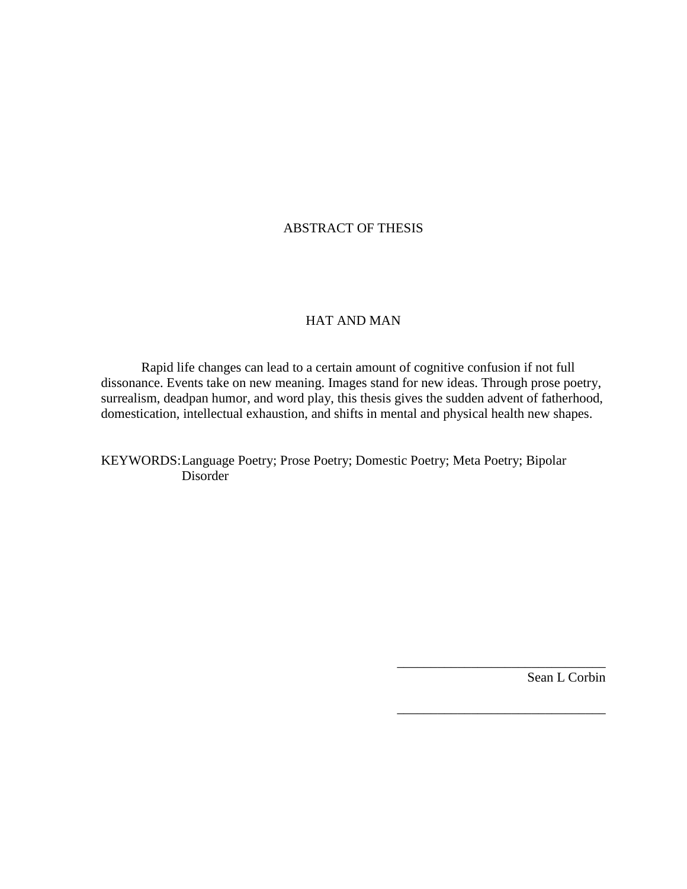## ABSTRACT OF THESIS

#### HAT AND MAN

Rapid life changes can lead to a certain amount of cognitive confusion if not full dissonance. Events take on new meaning. Images stand for new ideas. Through prose poetry, surrealism, deadpan humor, and word play, this thesis gives the sudden advent of fatherhood, domestication, intellectual exhaustion, and shifts in mental and physical health new shapes.

KEYWORDS:Language Poetry; Prose Poetry; Domestic Poetry; Meta Poetry; Bipolar Disorder

Sean L Corbin

\_\_\_\_\_\_\_\_\_\_\_\_\_\_\_\_\_\_\_\_\_\_\_\_\_\_\_\_\_\_\_

\_\_\_\_\_\_\_\_\_\_\_\_\_\_\_\_\_\_\_\_\_\_\_\_\_\_\_\_\_\_\_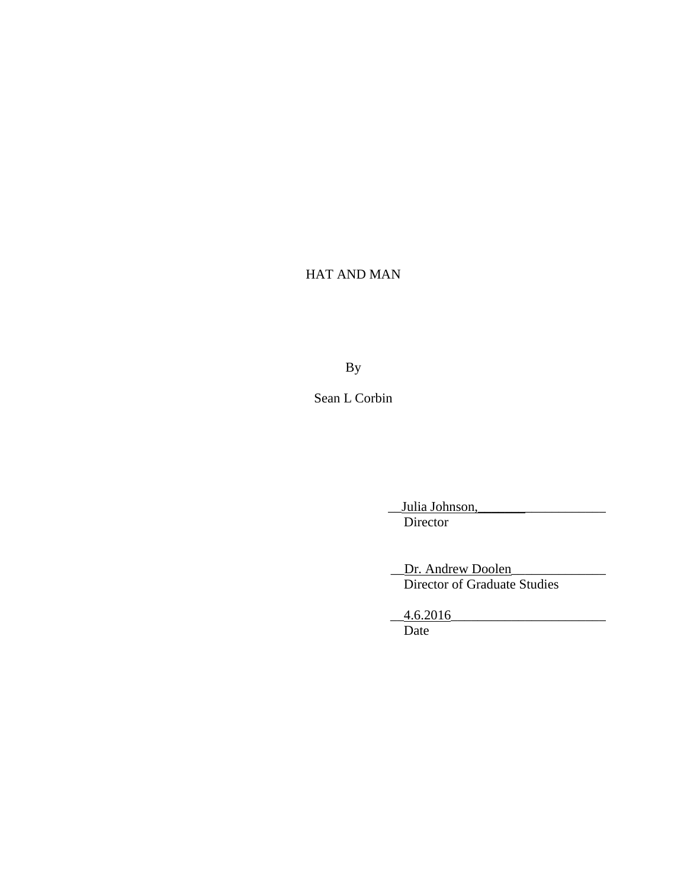## HAT AND MAN

By

Sean L Corbin

Julia Johnson, Director

Dr. Andrew Doolen Director of Graduate Studies

 $-4.6.2016$ Date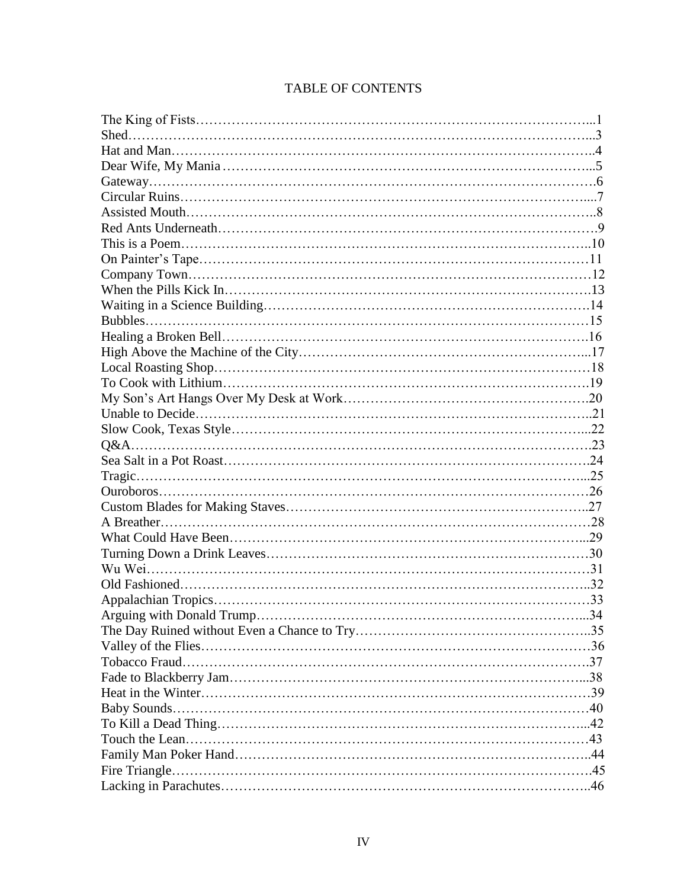| Arguing with Donald Trump | 34 |
|---------------------------|----|
|                           |    |
|                           |    |
|                           |    |
|                           |    |
|                           |    |
|                           |    |
|                           |    |
|                           |    |
|                           |    |
|                           |    |
|                           |    |
|                           |    |

## TABLE OF CONTENTS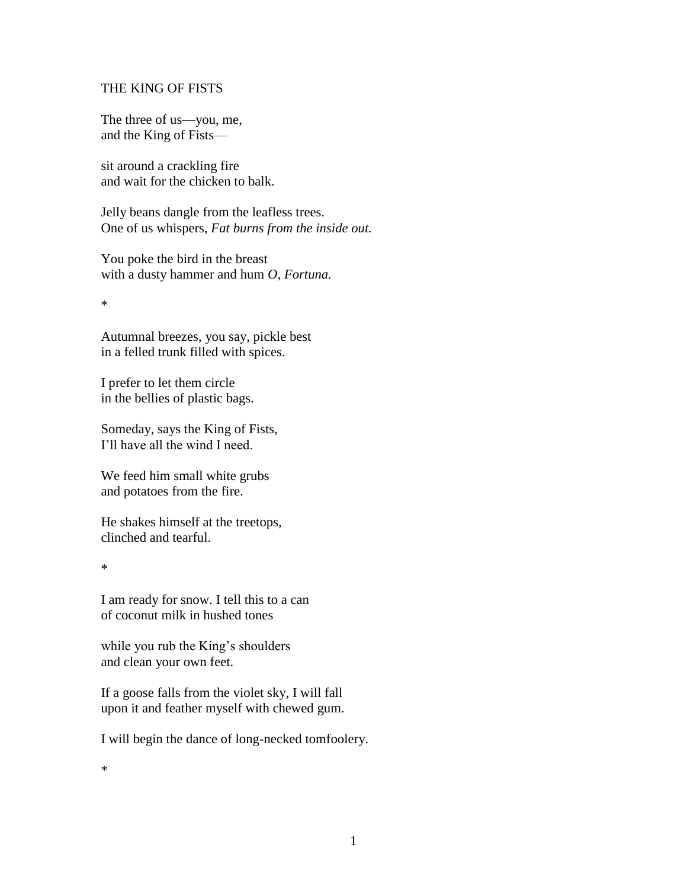#### THE KING OF FISTS

The three of us—you, me, and the King of Fists—

sit around a crackling fire and wait for the chicken to balk.

Jelly beans dangle from the leafless trees. One of us whispers, *Fat burns from the inside out.*

You poke the bird in the breast with a dusty hammer and hum *O, Fortuna.*

\*

Autumnal breezes, you say, pickle best in a felled trunk filled with spices.

I prefer to let them circle in the bellies of plastic bags.

Someday, says the King of Fists, I'll have all the wind I need.

We feed him small white grubs and potatoes from the fire.

He shakes himself at the treetops, clinched and tearful.

\*

I am ready for snow. I tell this to a can of coconut milk in hushed tones

while you rub the King's shoulders and clean your own feet.

If a goose falls from the violet sky, I will fall upon it and feather myself with chewed gum.

I will begin the dance of long-necked tomfoolery.

\*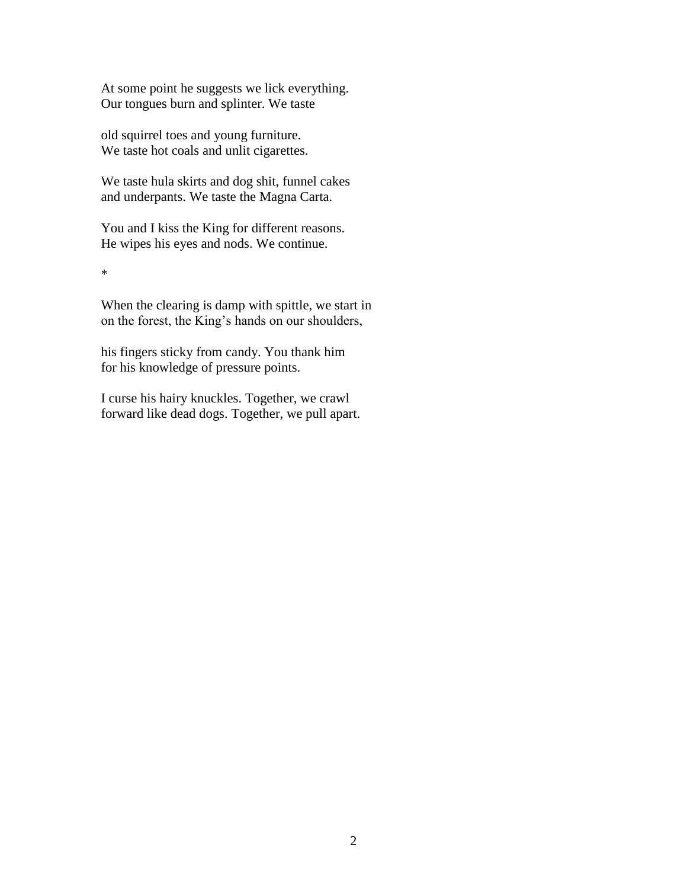At some point he suggests we lick everything. Our tongues burn and splinter. We taste

old squirrel toes and young furniture. We taste hot coals and unlit cigarettes.

We taste hula skirts and dog shit, funnel cakes and underpants. We taste the Magna Carta.

You and I kiss the King for different reasons. He wipes his eyes and nods. We continue.

\*

When the clearing is damp with spittle, we start in on the forest, the King's hands on our shoulders,

his fingers sticky from candy. You thank him for his knowledge of pressure points.

I curse his hairy knuckles. Together, we crawl forward like dead dogs. Together, we pull apart.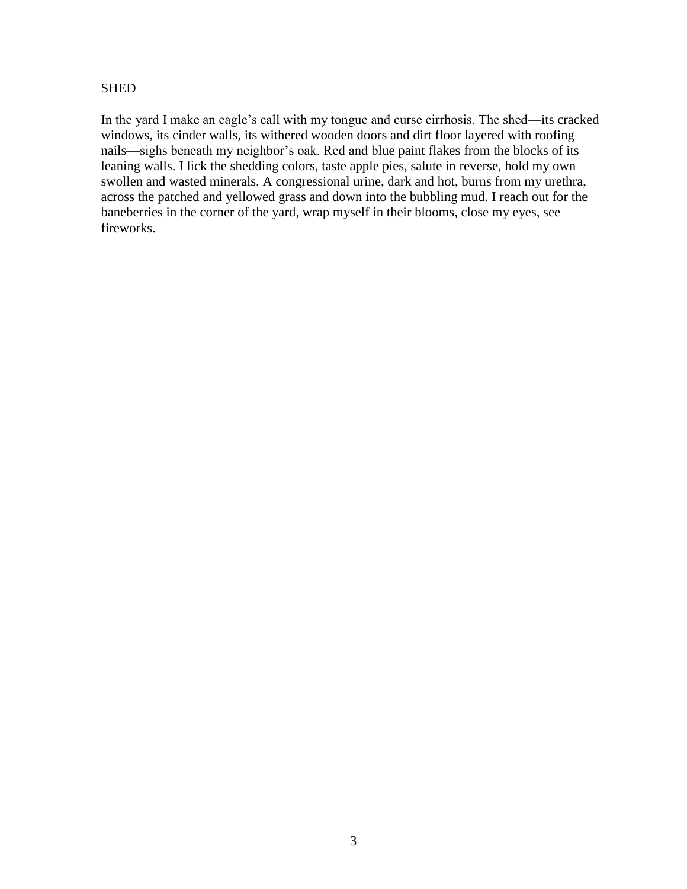## **SHED**

In the yard I make an eagle's call with my tongue and curse cirrhosis. The shed—its cracked windows, its cinder walls, its withered wooden doors and dirt floor layered with roofing nails—sighs beneath my neighbor's oak. Red and blue paint flakes from the blocks of its leaning walls. I lick the shedding colors, taste apple pies, salute in reverse, hold my own swollen and wasted minerals. A congressional urine, dark and hot, burns from my urethra, across the patched and yellowed grass and down into the bubbling mud. I reach out for the baneberries in the corner of the yard, wrap myself in their blooms, close my eyes, see fireworks.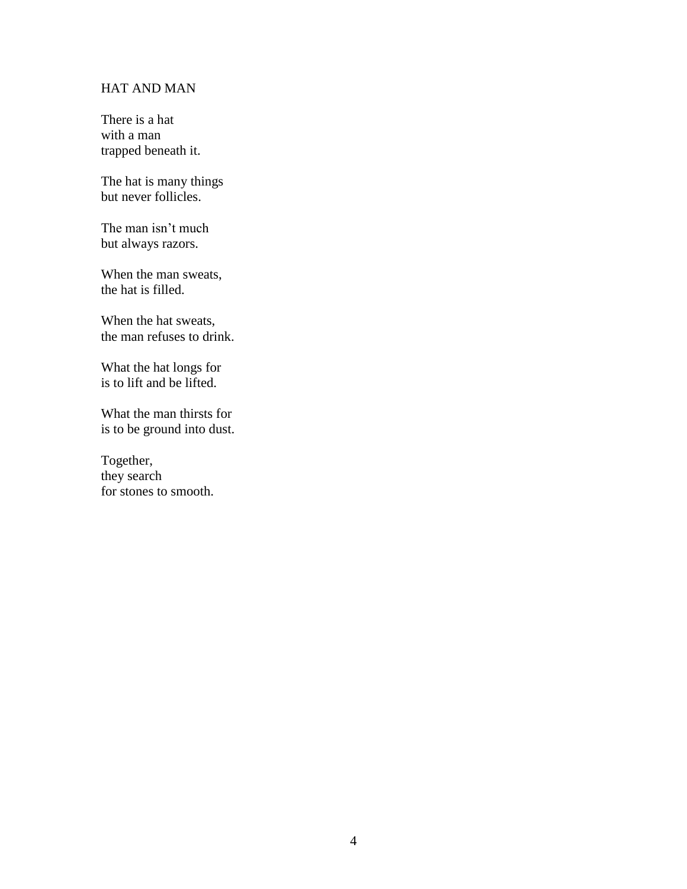## HAT AND MAN

There is a hat with a man trapped beneath it.

The hat is many things but never follicles.

The man isn't much but always razors.

When the man sweats, the hat is filled.

When the hat sweats, the man refuses to drink.

What the hat longs for is to lift and be lifted.

What the man thirsts for is to be ground into dust.

Together, they search for stones to smooth.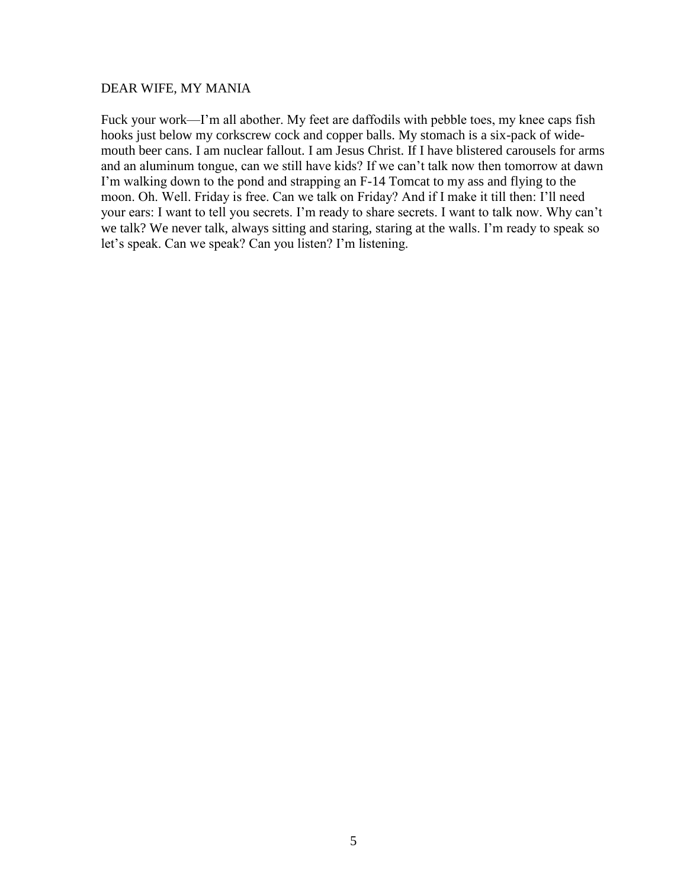#### DEAR WIFE, MY MANIA

Fuck your work—I'm all abother. My feet are daffodils with pebble toes, my knee caps fish hooks just below my corkscrew cock and copper balls. My stomach is a six-pack of widemouth beer cans. I am nuclear fallout. I am Jesus Christ. If I have blistered carousels for arms and an aluminum tongue, can we still have kids? If we can't talk now then tomorrow at dawn I'm walking down to the pond and strapping an F-14 Tomcat to my ass and flying to the moon. Oh. Well. Friday is free. Can we talk on Friday? And if I make it till then: I'll need your ears: I want to tell you secrets. I'm ready to share secrets. I want to talk now. Why can't we talk? We never talk, always sitting and staring, staring at the walls. I'm ready to speak so let's speak. Can we speak? Can you listen? I'm listening.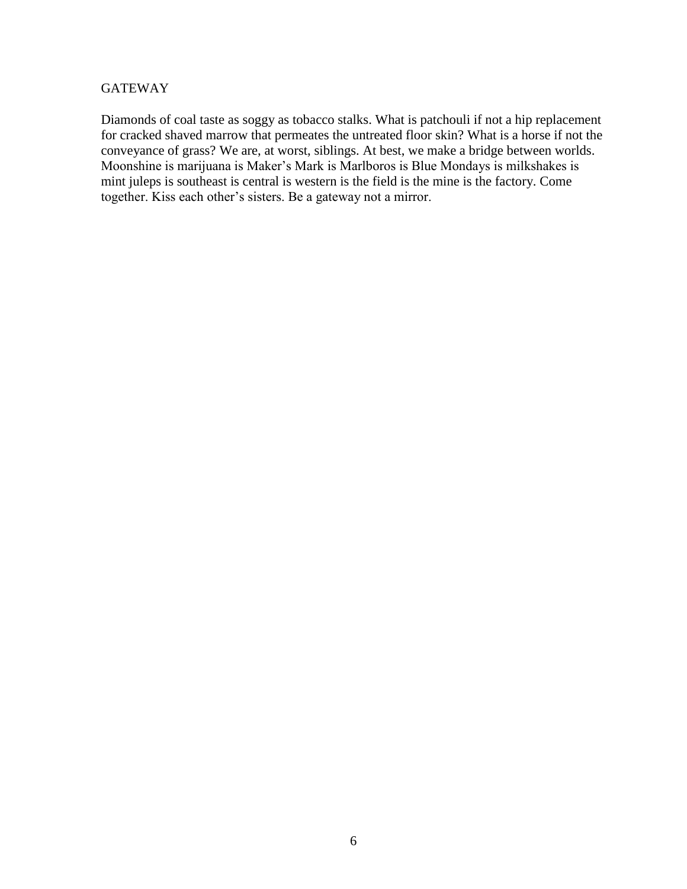## **GATEWAY**

Diamonds of coal taste as soggy as tobacco stalks. What is patchouli if not a hip replacement for cracked shaved marrow that permeates the untreated floor skin? What is a horse if not the conveyance of grass? We are, at worst, siblings. At best, we make a bridge between worlds. Moonshine is marijuana is Maker's Mark is Marlboros is Blue Mondays is milkshakes is mint juleps is southeast is central is western is the field is the mine is the factory. Come together. Kiss each other's sisters. Be a gateway not a mirror.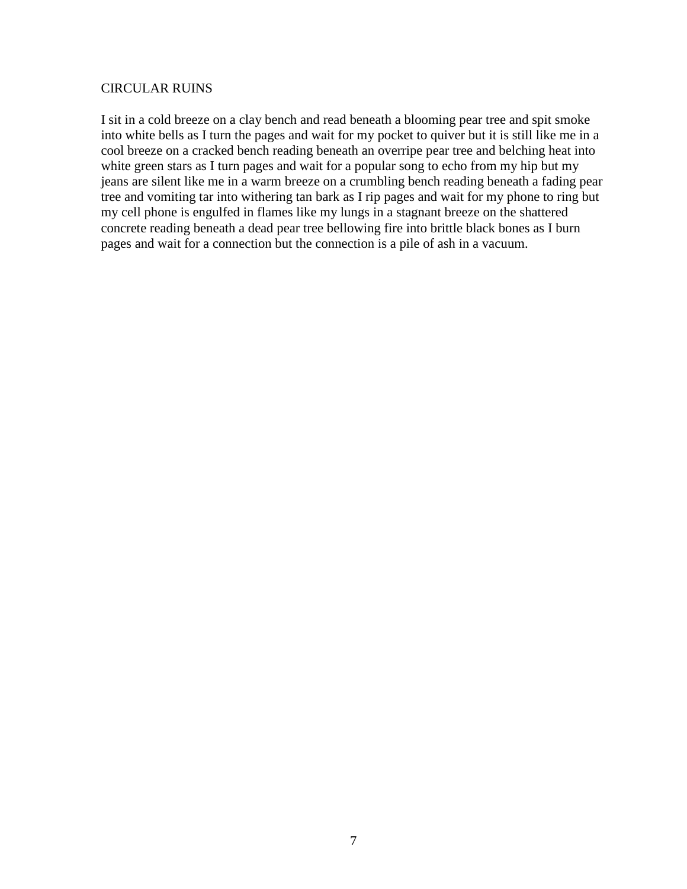#### CIRCULAR RUINS

I sit in a cold breeze on a clay bench and read beneath a blooming pear tree and spit smoke into white bells as I turn the pages and wait for my pocket to quiver but it is still like me in a cool breeze on a cracked bench reading beneath an overripe pear tree and belching heat into white green stars as I turn pages and wait for a popular song to echo from my hip but my jeans are silent like me in a warm breeze on a crumbling bench reading beneath a fading pear tree and vomiting tar into withering tan bark as I rip pages and wait for my phone to ring but my cell phone is engulfed in flames like my lungs in a stagnant breeze on the shattered concrete reading beneath a dead pear tree bellowing fire into brittle black bones as I burn pages and wait for a connection but the connection is a pile of ash in a vacuum.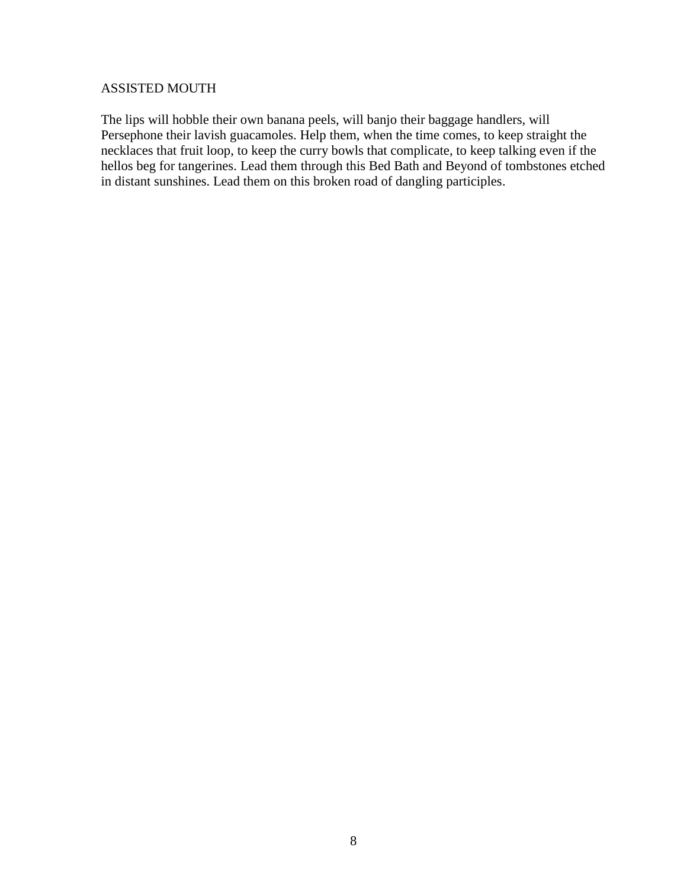### ASSISTED MOUTH

The lips will hobble their own banana peels, will banjo their baggage handlers, will Persephone their lavish guacamoles. Help them, when the time comes, to keep straight the necklaces that fruit loop, to keep the curry bowls that complicate, to keep talking even if the hellos beg for tangerines. Lead them through this Bed Bath and Beyond of tombstones etched in distant sunshines. Lead them on this broken road of dangling participles.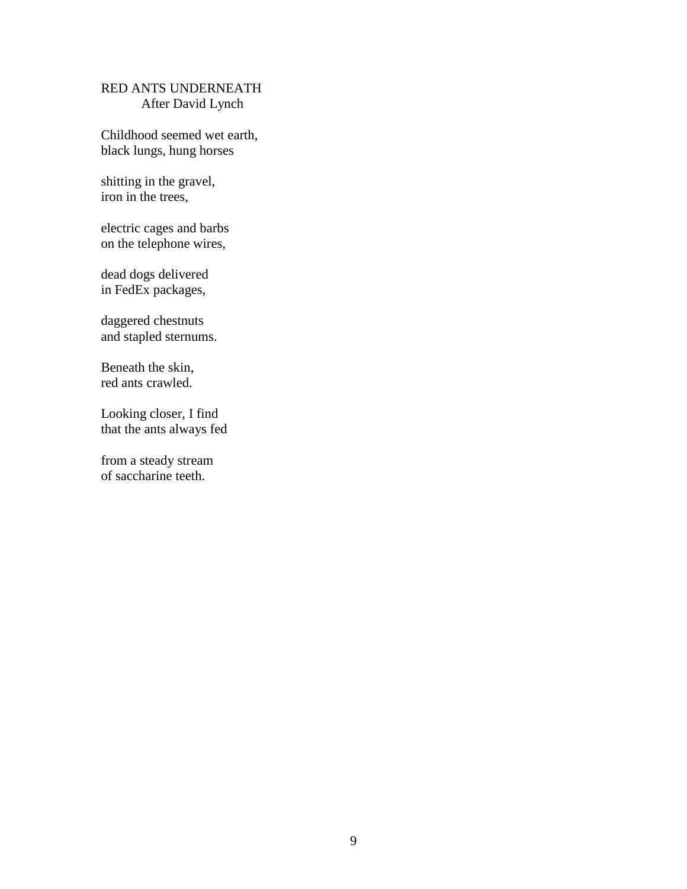## RED ANTS UNDERNEATH After David Lynch

Childhood seemed wet earth, black lungs, hung horses

shitting in the gravel, iron in the trees,

electric cages and barbs on the telephone wires,

dead dogs delivered in FedEx packages,

daggered chestnuts and stapled sternums.

Beneath the skin, red ants crawled.

Looking closer, I find that the ants always fed

from a steady stream of saccharine teeth.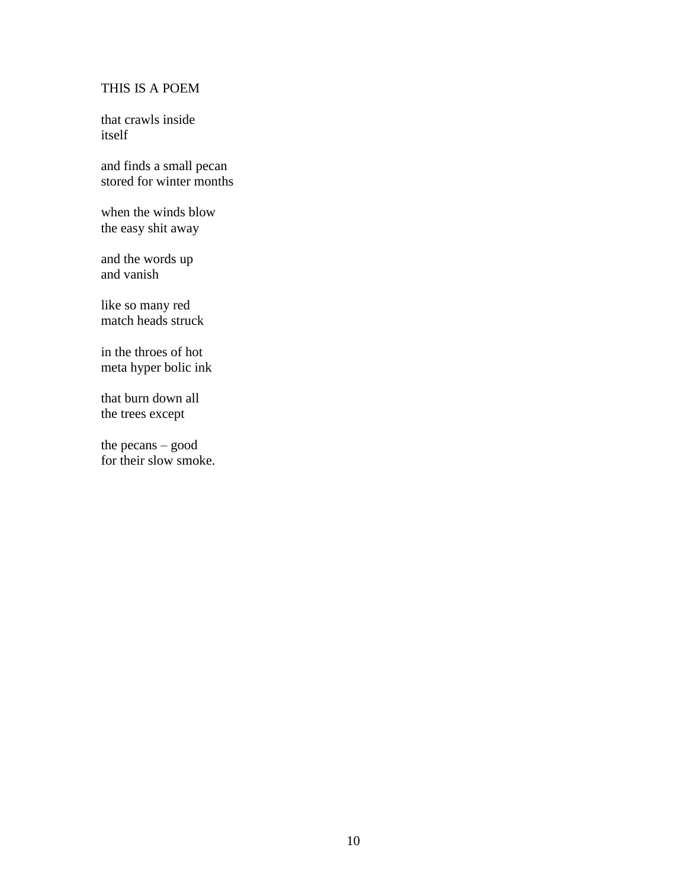## THIS IS A POEM

that crawls inside itself

and finds a small pecan stored for winter months

when the winds blow the easy shit away

and the words up and vanish

like so many red match heads struck

in the throes of hot meta hyper bolic ink

that burn down all the trees except

the pecans – good for their slow smoke.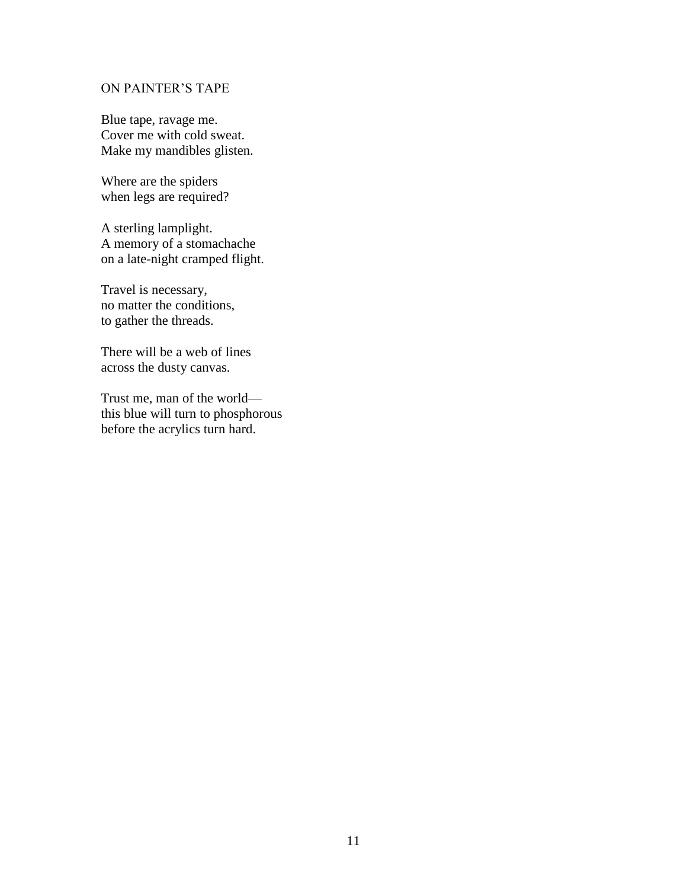#### ON PAINTER'S TAPE

Blue tape, ravage me. Cover me with cold sweat. Make my mandibles glisten.

Where are the spiders when legs are required?

A sterling lamplight. A memory of a stomachache on a late-night cramped flight.

Travel is necessary, no matter the conditions, to gather the threads.

There will be a web of lines across the dusty canvas.

Trust me, man of the world this blue will turn to phosphorous before the acrylics turn hard.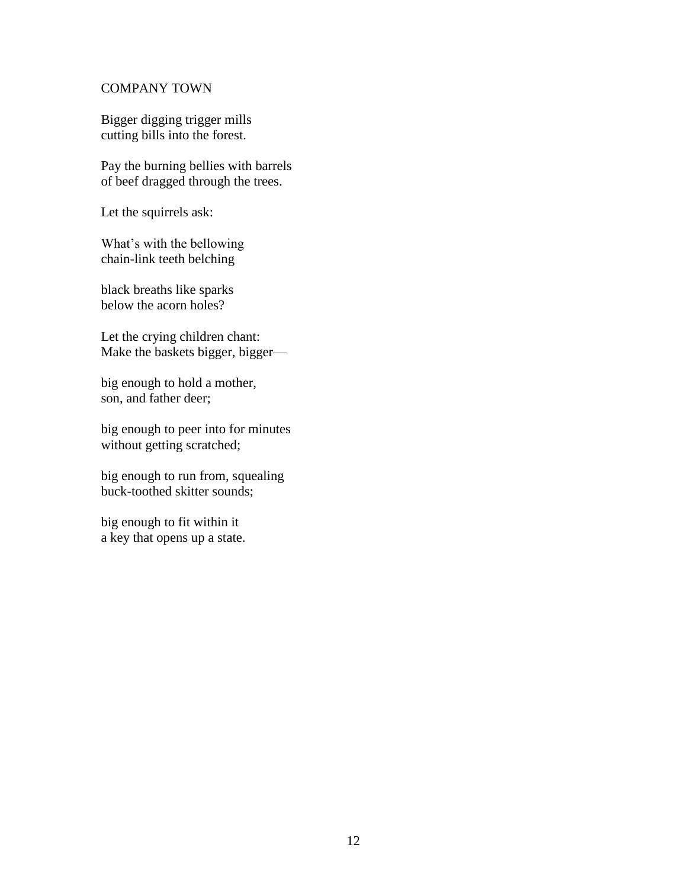### COMPANY TOWN

Bigger digging trigger mills cutting bills into the forest.

Pay the burning bellies with barrels of beef dragged through the trees.

Let the squirrels ask:

What's with the bellowing chain-link teeth belching

black breaths like sparks below the acorn holes?

Let the crying children chant: Make the baskets bigger, bigger—

big enough to hold a mother, son, and father deer;

big enough to peer into for minutes without getting scratched;

big enough to run from, squealing buck-toothed skitter sounds;

big enough to fit within it a key that opens up a state.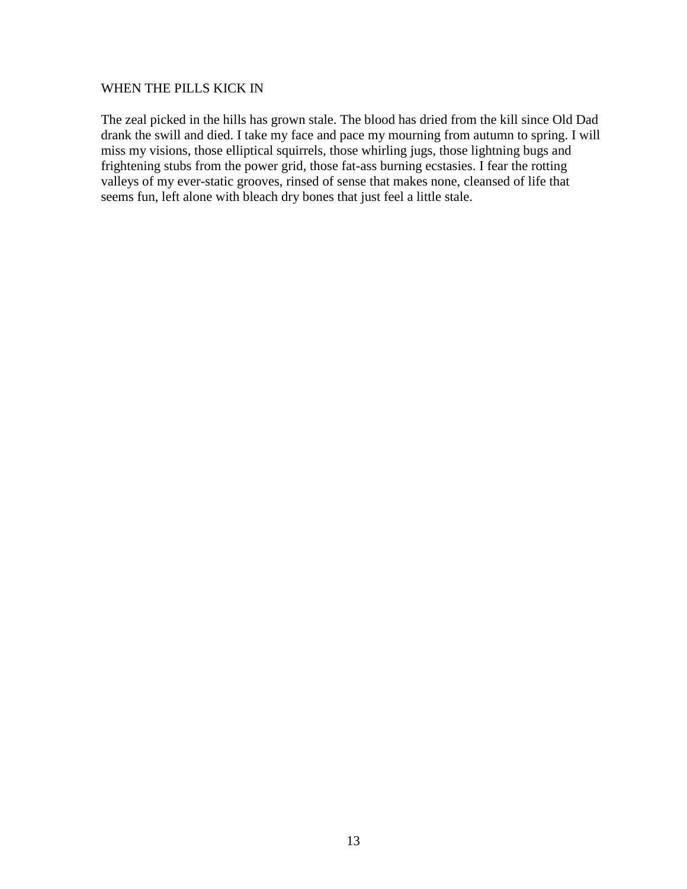#### WHEN THE PILLS KICK IN

The zeal picked in the hills has grown stale. The blood has dried from the kill since Old Dad drank the swill and died. I take my face and pace my mourning from autumn to spring. I will miss my visions, those elliptical squirrels, those whirling jugs, those lightning bugs and frightening stubs from the power grid, those fat-ass burning ecstasies. I fear the rotting valleys of my ever-static grooves, rinsed of sense that makes none, cleansed of life that seems fun, left alone with bleach dry bones that just feel a little stale.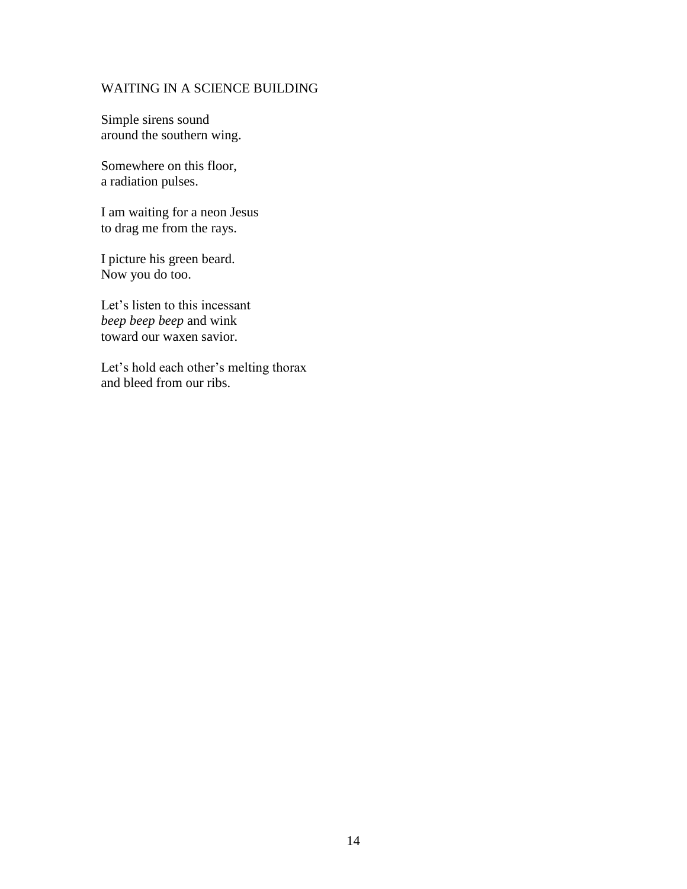#### WAITING IN A SCIENCE BUILDING

Simple sirens sound around the southern wing.

Somewhere on this floor, a radiation pulses.

I am waiting for a neon Jesus to drag me from the rays.

I picture his green beard. Now you do too.

Let's listen to this incessant *beep beep beep* and wink toward our waxen savior.

Let's hold each other's melting thorax and bleed from our ribs.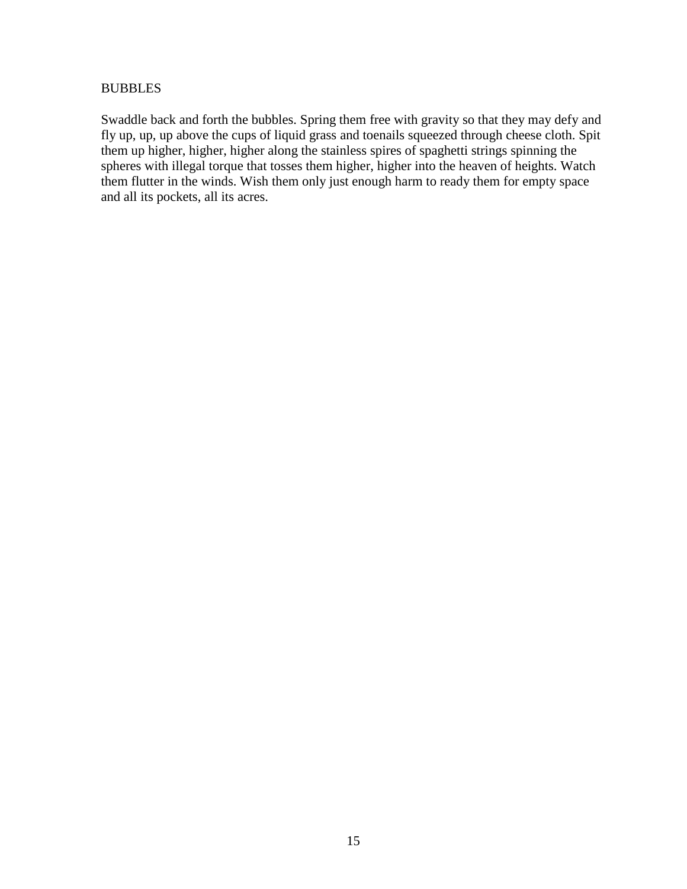#### **BUBBLES**

Swaddle back and forth the bubbles. Spring them free with gravity so that they may defy and fly up, up, up above the cups of liquid grass and toenails squeezed through cheese cloth. Spit them up higher, higher, higher along the stainless spires of spaghetti strings spinning the spheres with illegal torque that tosses them higher, higher into the heaven of heights. Watch them flutter in the winds. Wish them only just enough harm to ready them for empty space and all its pockets, all its acres.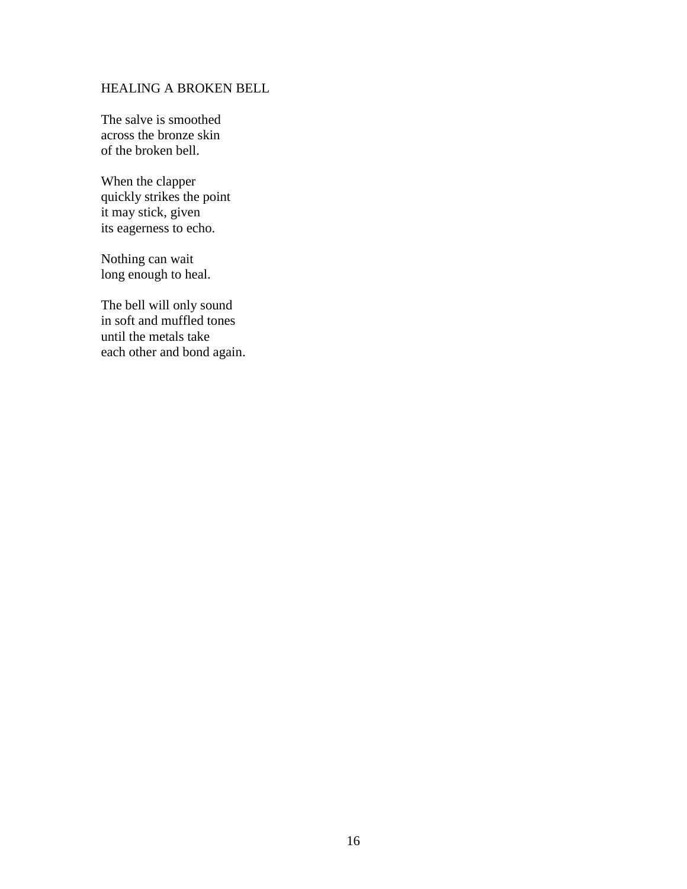#### HEALING A BROKEN BELL

The salve is smoothed across the bronze skin of the broken bell.

When the clapper quickly strikes the point it may stick, given its eagerness to echo.

Nothing can wait long enough to heal.

The bell will only sound in soft and muffled tones until the metals take each other and bond again.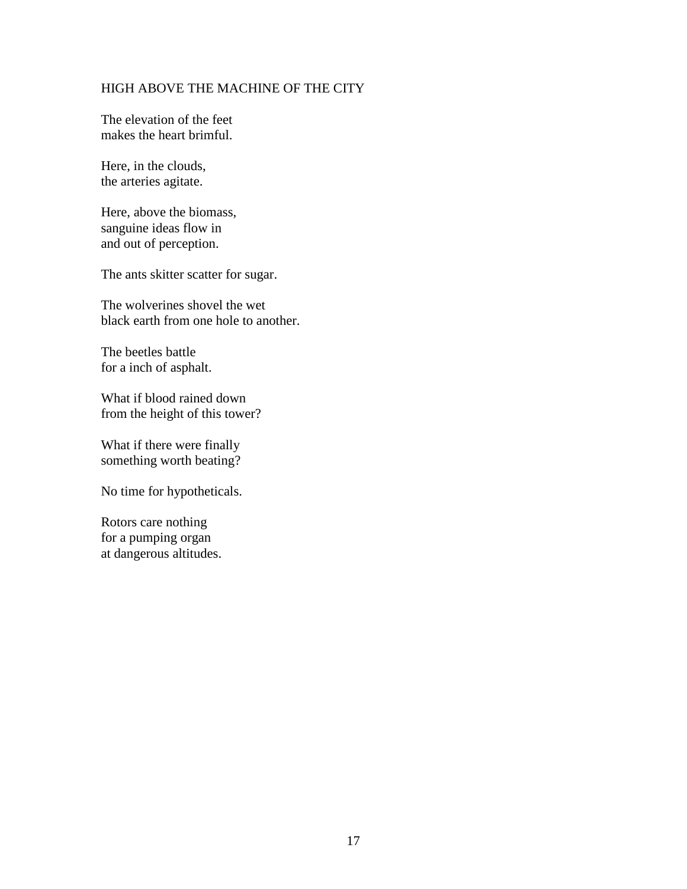## HIGH ABOVE THE MACHINE OF THE CITY

The elevation of the feet makes the heart brimful.

Here, in the clouds, the arteries agitate.

Here, above the biomass, sanguine ideas flow in and out of perception.

The ants skitter scatter for sugar.

The wolverines shovel the wet black earth from one hole to another.

The beetles battle for a inch of asphalt.

What if blood rained down from the height of this tower?

What if there were finally something worth beating?

No time for hypotheticals.

Rotors care nothing for a pumping organ at dangerous altitudes.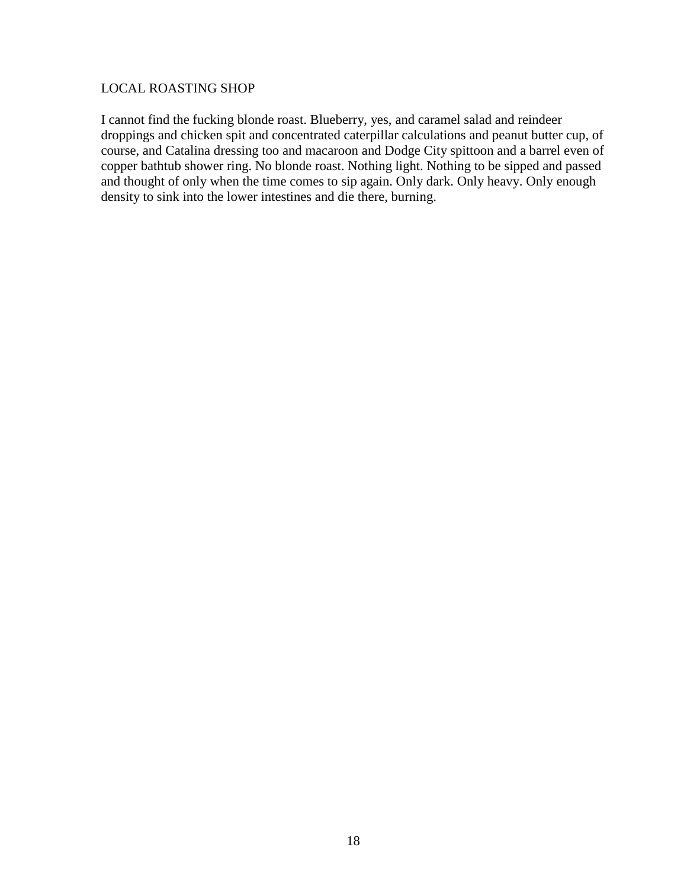## LOCAL ROASTING SHOP

I cannot find the fucking blonde roast. Blueberry, yes, and caramel salad and reindeer droppings and chicken spit and concentrated caterpillar calculations and peanut butter cup, of course, and Catalina dressing too and macaroon and Dodge City spittoon and a barrel even of copper bathtub shower ring. No blonde roast. Nothing light. Nothing to be sipped and passed and thought of only when the time comes to sip again. Only dark. Only heavy. Only enough density to sink into the lower intestines and die there, burning.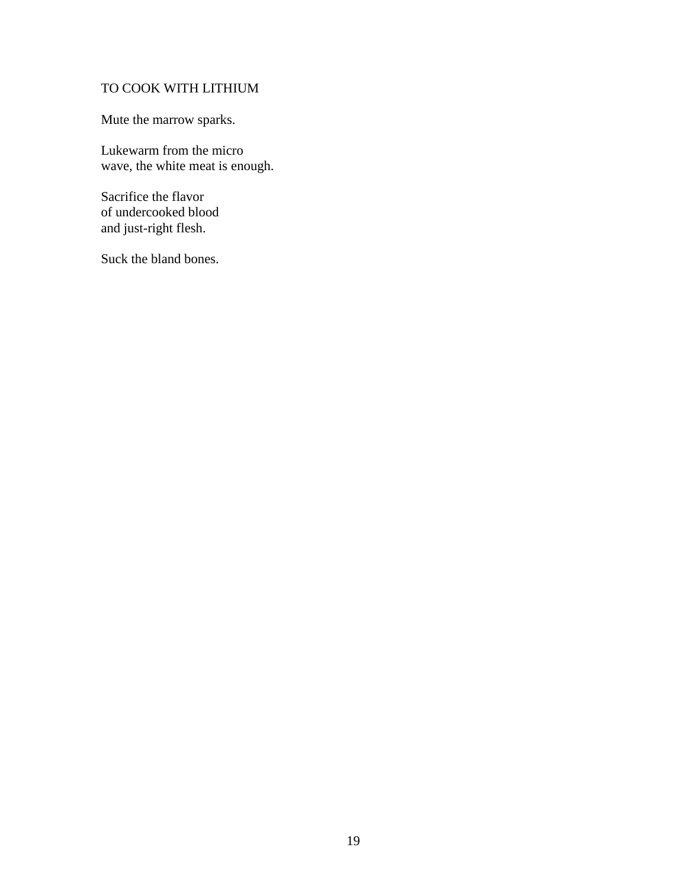## TO COOK WITH LITHIUM

Mute the marrow sparks.

Lukewarm from the micro wave, the white meat is enough.

Sacrifice the flavor of undercooked blood and just-right flesh.

Suck the bland bones.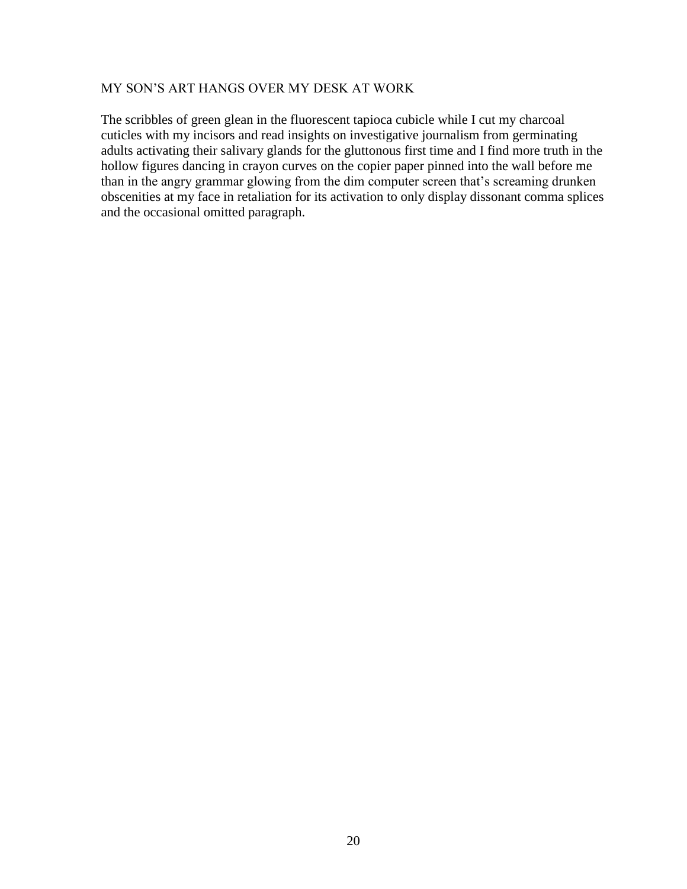## MY SON'S ART HANGS OVER MY DESK AT WORK

The scribbles of green glean in the fluorescent tapioca cubicle while I cut my charcoal cuticles with my incisors and read insights on investigative journalism from germinating adults activating their salivary glands for the gluttonous first time and I find more truth in the hollow figures dancing in crayon curves on the copier paper pinned into the wall before me than in the angry grammar glowing from the dim computer screen that's screaming drunken obscenities at my face in retaliation for its activation to only display dissonant comma splices and the occasional omitted paragraph.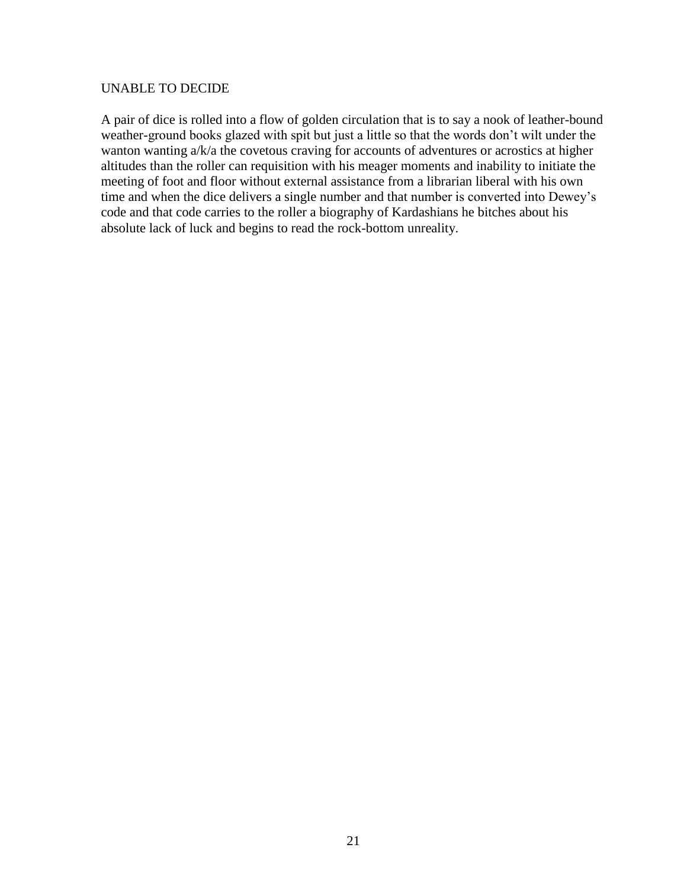#### UNABLE TO DECIDE

A pair of dice is rolled into a flow of golden circulation that is to say a nook of leather-bound weather-ground books glazed with spit but just a little so that the words don't wilt under the wanton wanting a/k/a the covetous craving for accounts of adventures or acrostics at higher altitudes than the roller can requisition with his meager moments and inability to initiate the meeting of foot and floor without external assistance from a librarian liberal with his own time and when the dice delivers a single number and that number is converted into Dewey's code and that code carries to the roller a biography of Kardashians he bitches about his absolute lack of luck and begins to read the rock-bottom unreality.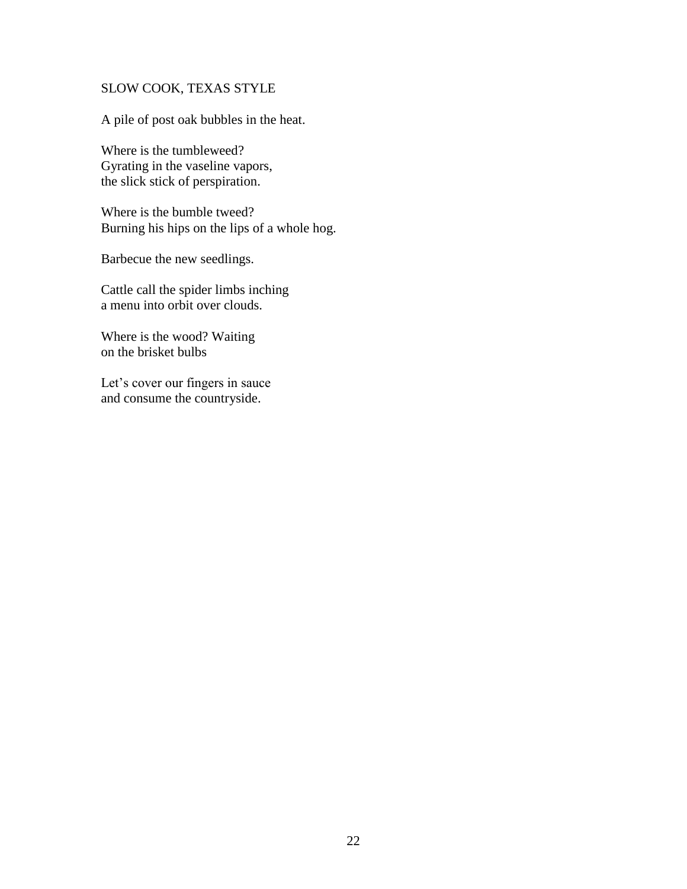## SLOW COOK, TEXAS STYLE

A pile of post oak bubbles in the heat.

Where is the tumbleweed? Gyrating in the vaseline vapors, the slick stick of perspiration.

Where is the bumble tweed? Burning his hips on the lips of a whole hog.

Barbecue the new seedlings.

Cattle call the spider limbs inching a menu into orbit over clouds.

Where is the wood? Waiting on the brisket bulbs

Let's cover our fingers in sauce and consume the countryside.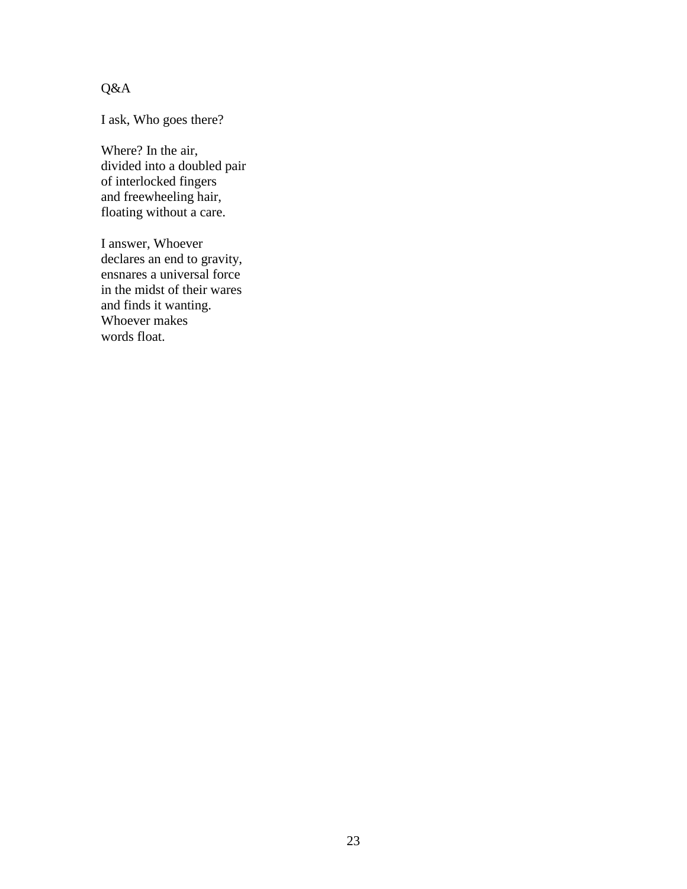Q&A

I ask, Who goes there?

Where? In the air, divided into a doubled pair of interlocked fingers and freewheeling hair, floating without a care.

I answer, Whoever declares an end to gravity, ensnares a universal force in the midst of their wares and finds it wanting. Whoever makes words float.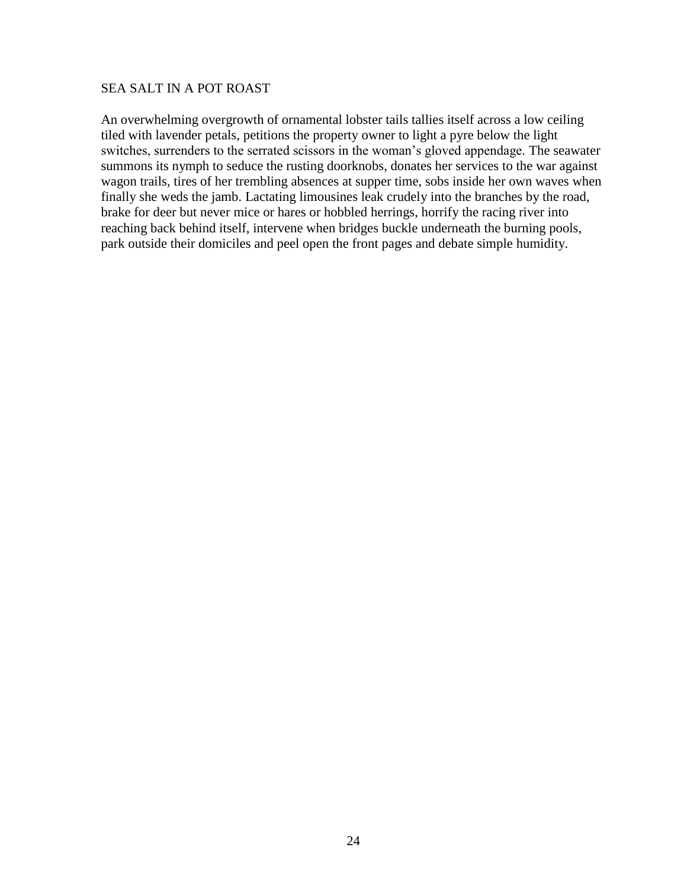#### SEA SALT IN A POT ROAST

An overwhelming overgrowth of ornamental lobster tails tallies itself across a low ceiling tiled with lavender petals, petitions the property owner to light a pyre below the light switches, surrenders to the serrated scissors in the woman's gloved appendage. The seawater summons its nymph to seduce the rusting doorknobs, donates her services to the war against wagon trails, tires of her trembling absences at supper time, sobs inside her own waves when finally she weds the jamb. Lactating limousines leak crudely into the branches by the road, brake for deer but never mice or hares or hobbled herrings, horrify the racing river into reaching back behind itself, intervene when bridges buckle underneath the burning pools, park outside their domiciles and peel open the front pages and debate simple humidity.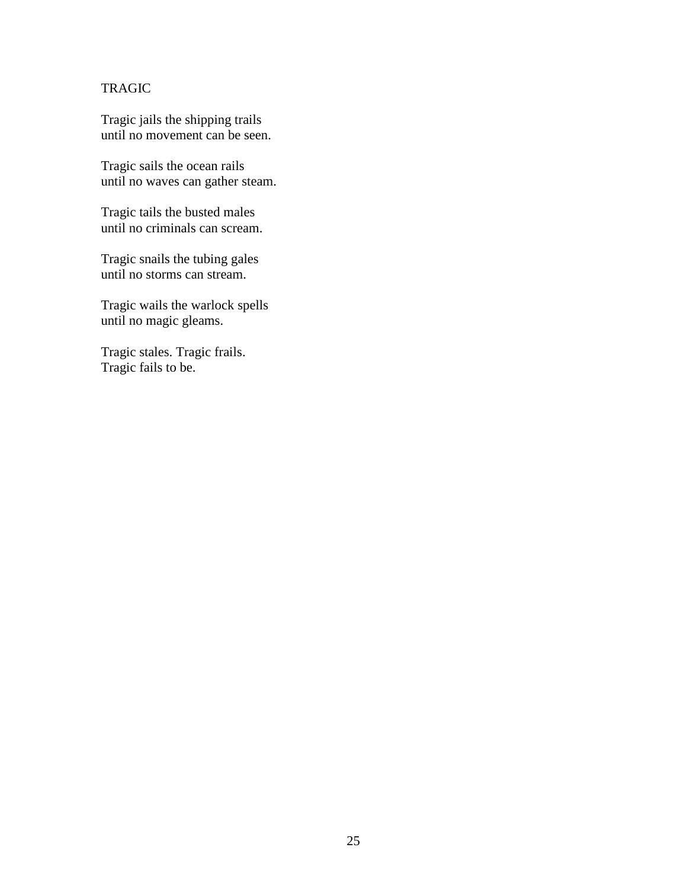## TRAGIC

Tragic jails the shipping trails until no movement can be seen.

Tragic sails the ocean rails until no waves can gather steam.

Tragic tails the busted males until no criminals can scream.

Tragic snails the tubing gales until no storms can stream.

Tragic wails the warlock spells until no magic gleams.

Tragic stales. Tragic frails. Tragic fails to be.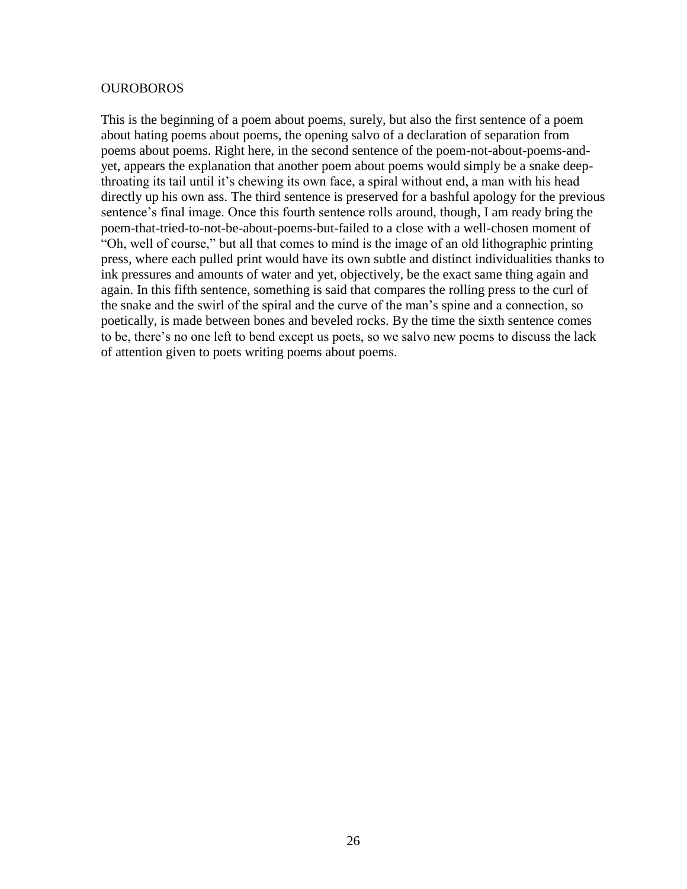#### OUROBOROS

This is the beginning of a poem about poems, surely, but also the first sentence of a poem about hating poems about poems, the opening salvo of a declaration of separation from poems about poems. Right here, in the second sentence of the poem-not-about-poems-andyet, appears the explanation that another poem about poems would simply be a snake deepthroating its tail until it's chewing its own face, a spiral without end, a man with his head directly up his own ass. The third sentence is preserved for a bashful apology for the previous sentence's final image. Once this fourth sentence rolls around, though, I am ready bring the poem-that-tried-to-not-be-about-poems-but-failed to a close with a well-chosen moment of "Oh, well of course," but all that comes to mind is the image of an old lithographic printing press, where each pulled print would have its own subtle and distinct individualities thanks to ink pressures and amounts of water and yet, objectively, be the exact same thing again and again. In this fifth sentence, something is said that compares the rolling press to the curl of the snake and the swirl of the spiral and the curve of the man's spine and a connection, so poetically, is made between bones and beveled rocks. By the time the sixth sentence comes to be, there's no one left to bend except us poets, so we salvo new poems to discuss the lack of attention given to poets writing poems about poems.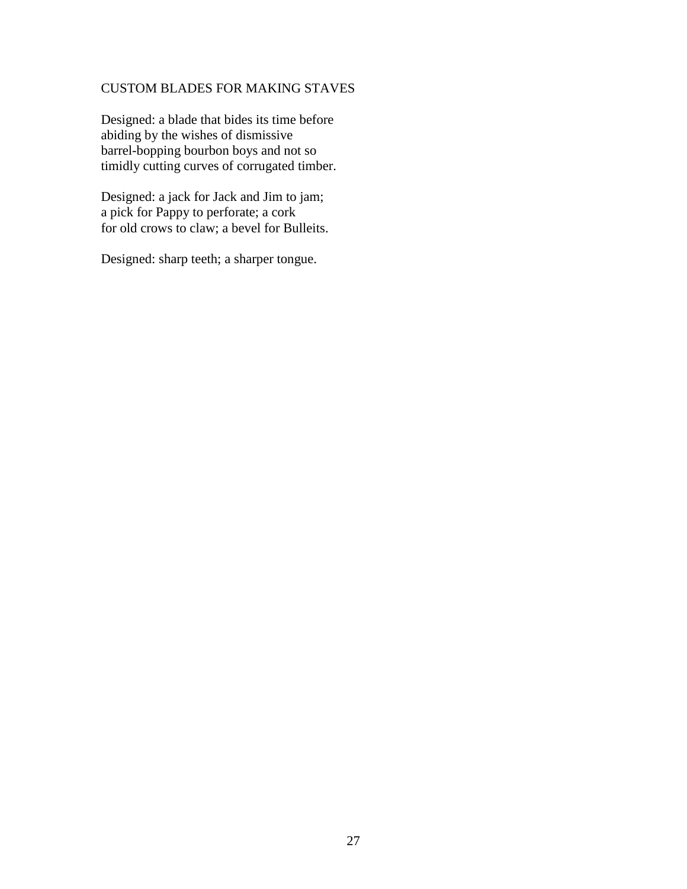## CUSTOM BLADES FOR MAKING STAVES

Designed: a blade that bides its time before abiding by the wishes of dismissive barrel-bopping bourbon boys and not so timidly cutting curves of corrugated timber.

Designed: a jack for Jack and Jim to jam; a pick for Pappy to perforate; a cork for old crows to claw; a bevel for Bulleits.

Designed: sharp teeth; a sharper tongue.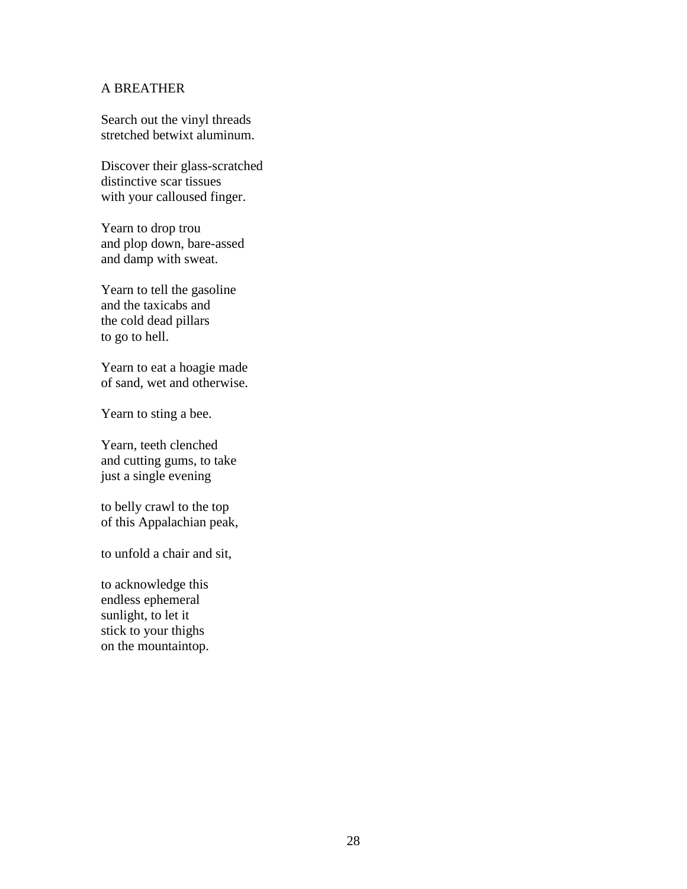## A BREATHER

Search out the vinyl threads stretched betwixt aluminum.

Discover their glass-scratched distinctive scar tissues with your calloused finger.

Yearn to drop trou and plop down, bare-assed and damp with sweat.

Yearn to tell the gasoline and the taxicabs and the cold dead pillars to go to hell.

Yearn to eat a hoagie made of sand, wet and otherwise.

Yearn to sting a bee.

Yearn, teeth clenched and cutting gums, to take just a single evening

to belly crawl to the top of this Appalachian peak,

to unfold a chair and sit,

to acknowledge this endless ephemeral sunlight, to let it stick to your thighs on the mountaintop.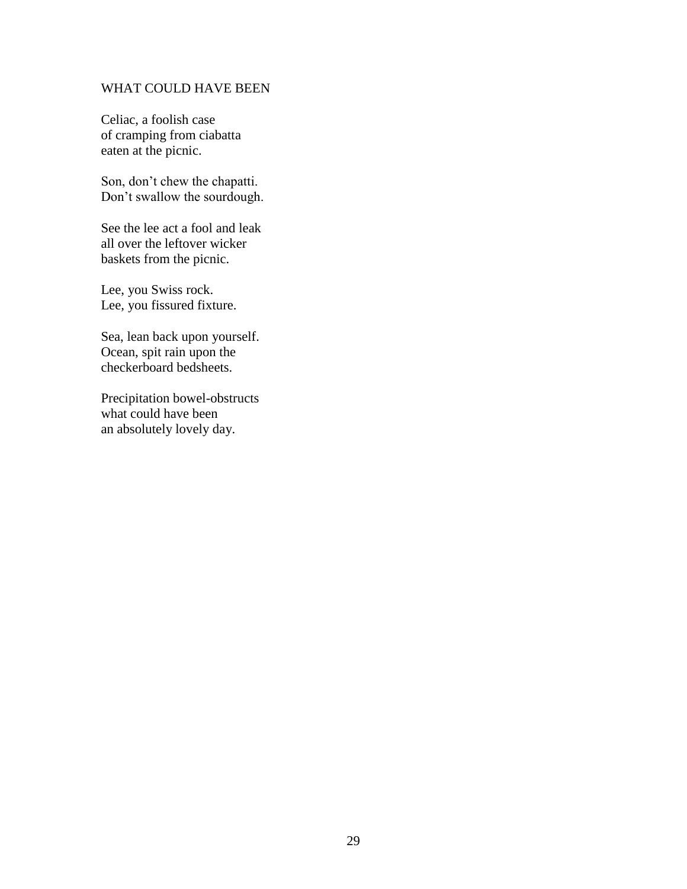#### WHAT COULD HAVE BEEN

Celiac, a foolish case of cramping from ciabatta eaten at the picnic.

Son, don't chew the chapatti. Don't swallow the sourdough.

See the lee act a fool and leak all over the leftover wicker baskets from the picnic.

Lee, you Swiss rock. Lee, you fissured fixture.

Sea, lean back upon yourself. Ocean, spit rain upon the checkerboard bedsheets.

Precipitation bowel-obstructs what could have been an absolutely lovely day.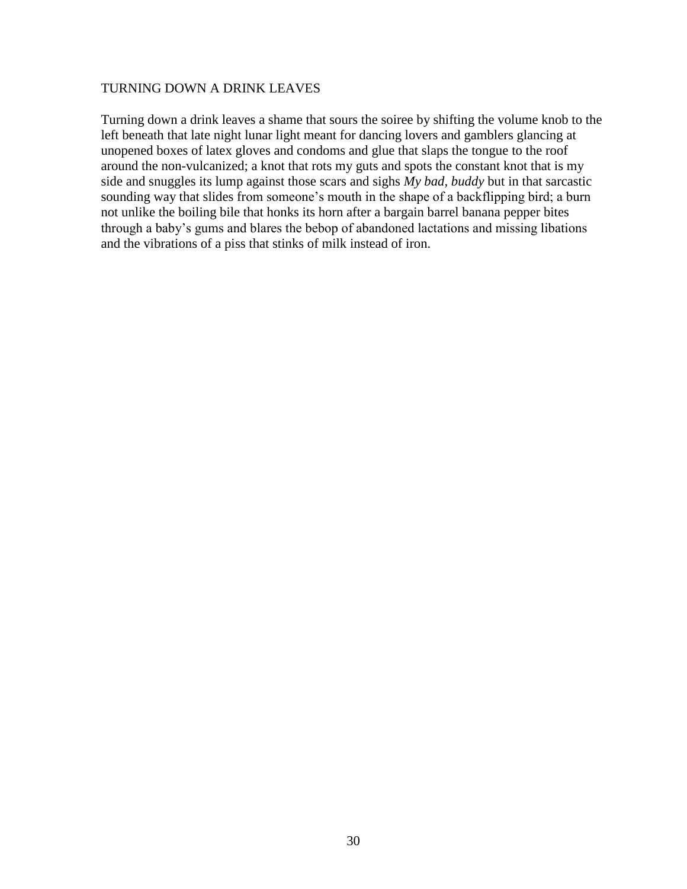#### TURNING DOWN A DRINK LEAVES

Turning down a drink leaves a shame that sours the soiree by shifting the volume knob to the left beneath that late night lunar light meant for dancing lovers and gamblers glancing at unopened boxes of latex gloves and condoms and glue that slaps the tongue to the roof around the non-vulcanized; a knot that rots my guts and spots the constant knot that is my side and snuggles its lump against those scars and sighs *My bad, buddy* but in that sarcastic sounding way that slides from someone's mouth in the shape of a backflipping bird; a burn not unlike the boiling bile that honks its horn after a bargain barrel banana pepper bites through a baby's gums and blares the bebop of abandoned lactations and missing libations and the vibrations of a piss that stinks of milk instead of iron.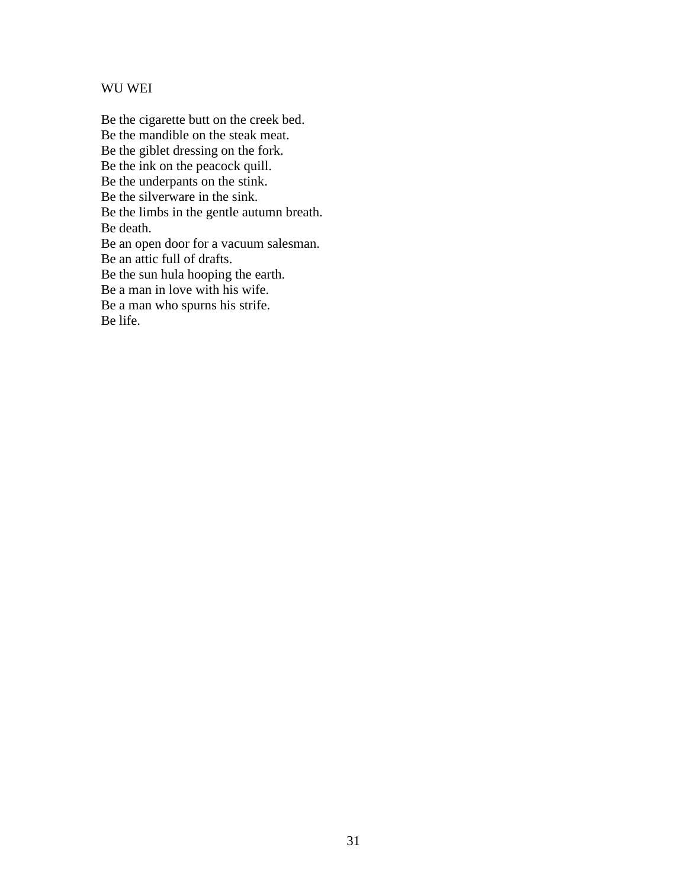#### WU WEI

Be the cigarette butt on the creek bed. Be the mandible on the steak meat. Be the giblet dressing on the fork. Be the ink on the peacock quill. Be the underpants on the stink. Be the silverware in the sink. Be the limbs in the gentle autumn breath. Be death. Be an open door for a vacuum salesman. Be an attic full of drafts. Be the sun hula hooping the earth. Be a man in love with his wife. Be a man who spurns his strife. Be life.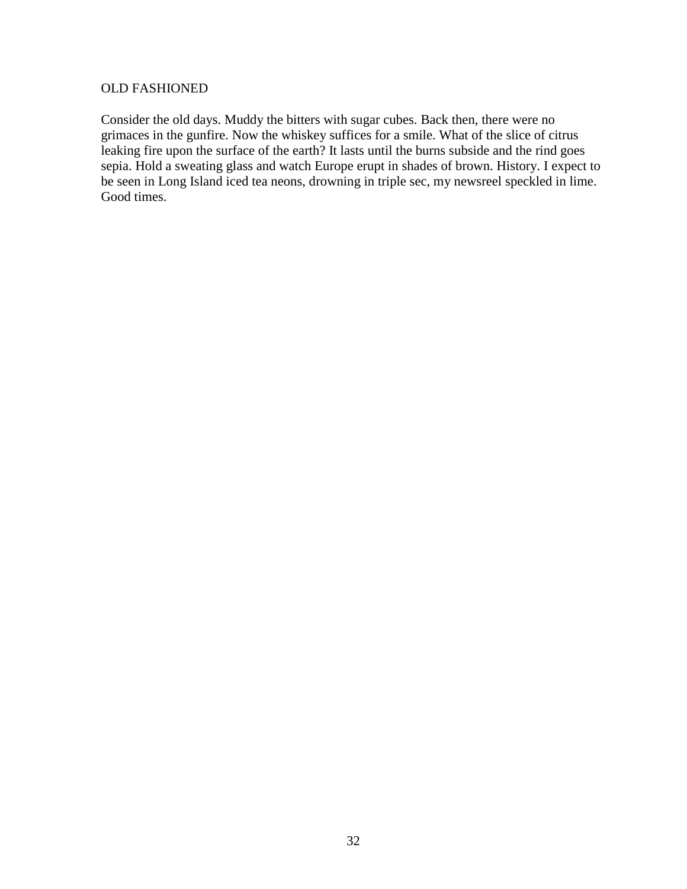#### OLD FASHIONED

Consider the old days. Muddy the bitters with sugar cubes. Back then, there were no grimaces in the gunfire. Now the whiskey suffices for a smile. What of the slice of citrus leaking fire upon the surface of the earth? It lasts until the burns subside and the rind goes sepia. Hold a sweating glass and watch Europe erupt in shades of brown. History. I expect to be seen in Long Island iced tea neons, drowning in triple sec, my newsreel speckled in lime. Good times.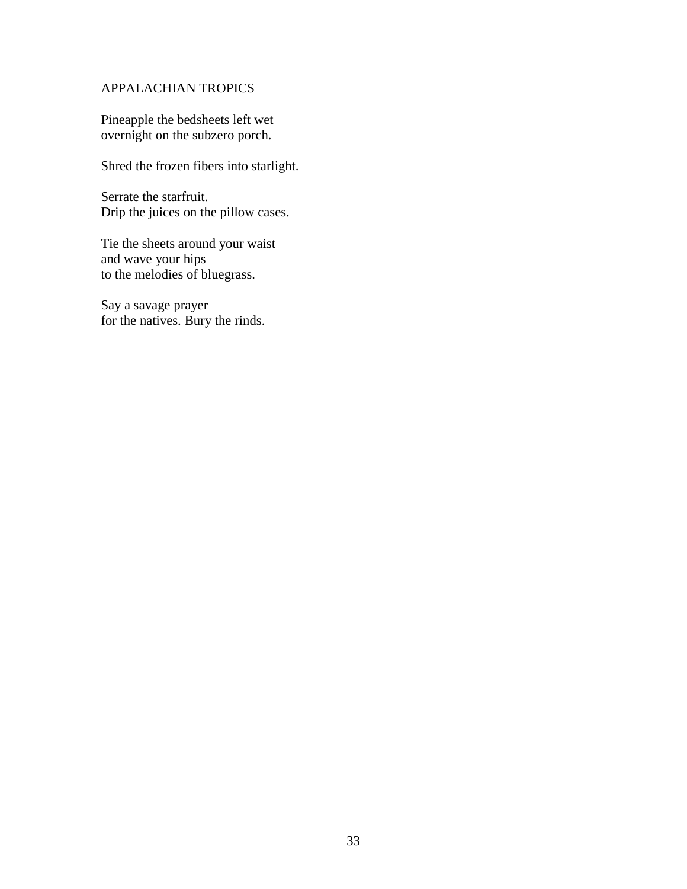## APPALACHIAN TROPICS

Pineapple the bedsheets left wet overnight on the subzero porch.

Shred the frozen fibers into starlight.

Serrate the starfruit. Drip the juices on the pillow cases.

Tie the sheets around your waist and wave your hips to the melodies of bluegrass.

Say a savage prayer for the natives. Bury the rinds.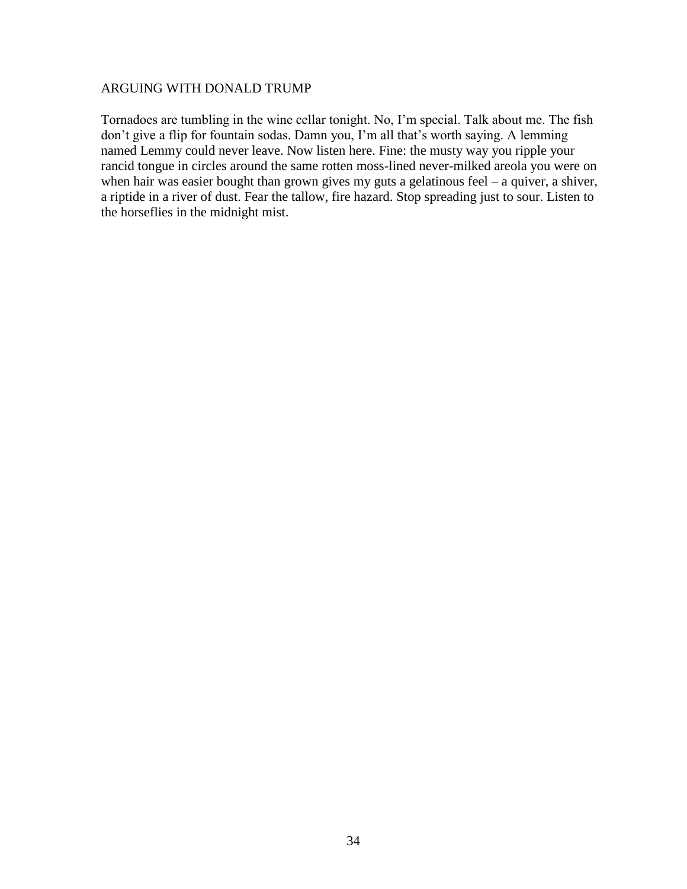#### ARGUING WITH DONALD TRUMP

Tornadoes are tumbling in the wine cellar tonight. No, I'm special. Talk about me. The fish don't give a flip for fountain sodas. Damn you, I'm all that's worth saying. A lemming named Lemmy could never leave. Now listen here. Fine: the musty way you ripple your rancid tongue in circles around the same rotten moss-lined never-milked areola you were on when hair was easier bought than grown gives my guts a gelatinous feel – a quiver, a shiver, a riptide in a river of dust. Fear the tallow, fire hazard. Stop spreading just to sour. Listen to the horseflies in the midnight mist.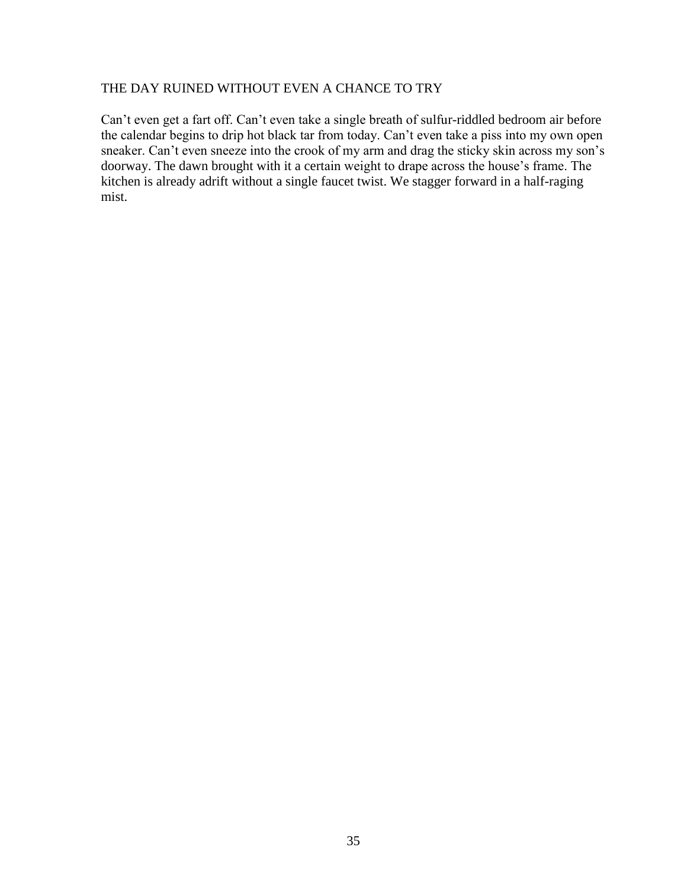## THE DAY RUINED WITHOUT EVEN A CHANCE TO TRY

Can't even get a fart off. Can't even take a single breath of sulfur-riddled bedroom air before the calendar begins to drip hot black tar from today. Can't even take a piss into my own open sneaker. Can't even sneeze into the crook of my arm and drag the sticky skin across my son's doorway. The dawn brought with it a certain weight to drape across the house's frame. The kitchen is already adrift without a single faucet twist. We stagger forward in a half-raging mist.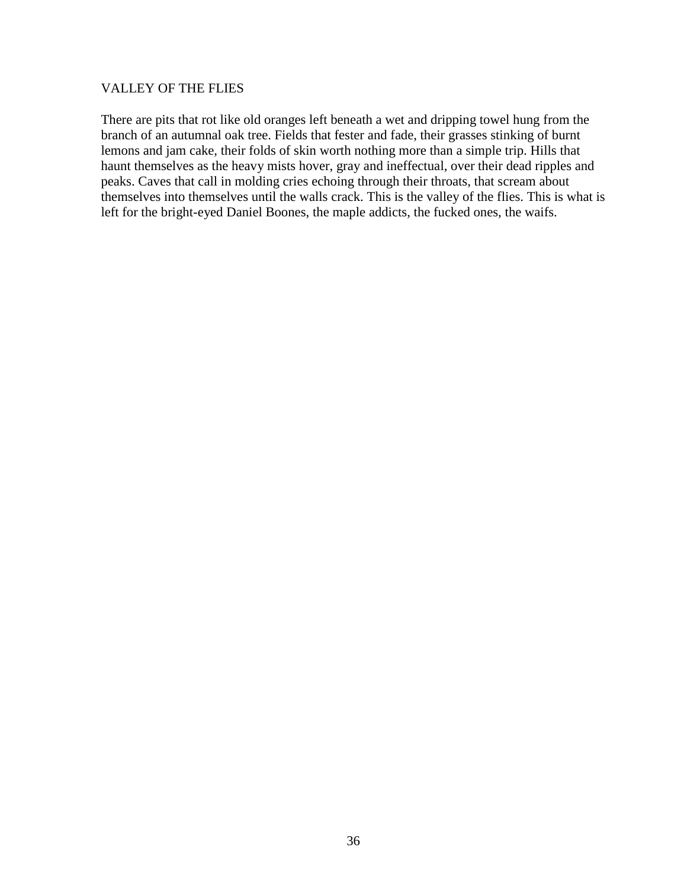#### VALLEY OF THE FLIES

There are pits that rot like old oranges left beneath a wet and dripping towel hung from the branch of an autumnal oak tree. Fields that fester and fade, their grasses stinking of burnt lemons and jam cake, their folds of skin worth nothing more than a simple trip. Hills that haunt themselves as the heavy mists hover, gray and ineffectual, over their dead ripples and peaks. Caves that call in molding cries echoing through their throats, that scream about themselves into themselves until the walls crack. This is the valley of the flies. This is what is left for the bright-eyed Daniel Boones, the maple addicts, the fucked ones, the waifs.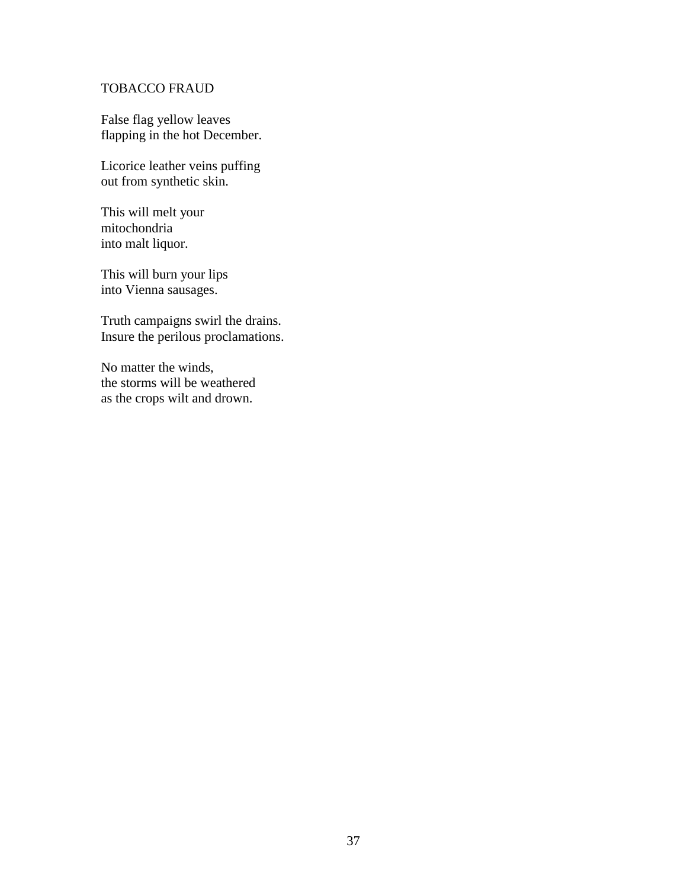## TOBACCO FRAUD

False flag yellow leaves flapping in the hot December.

Licorice leather veins puffing out from synthetic skin.

This will melt your mitochondria into malt liquor.

This will burn your lips into Vienna sausages.

Truth campaigns swirl the drains. Insure the perilous proclamations.

No matter the winds, the storms will be weathered as the crops wilt and drown.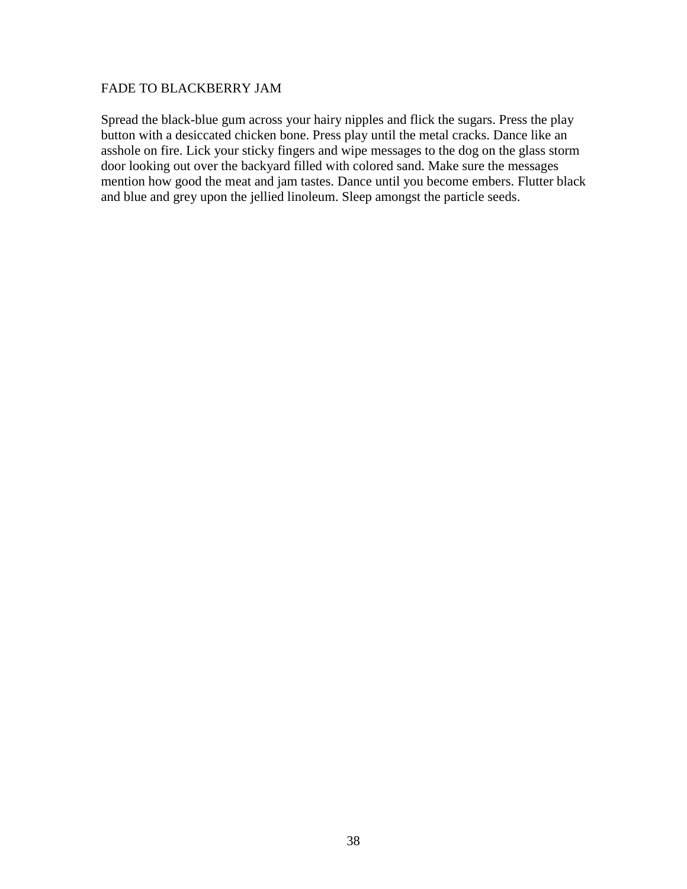#### FADE TO BLACKBERRY JAM

Spread the black-blue gum across your hairy nipples and flick the sugars. Press the play button with a desiccated chicken bone. Press play until the metal cracks. Dance like an asshole on fire. Lick your sticky fingers and wipe messages to the dog on the glass storm door looking out over the backyard filled with colored sand. Make sure the messages mention how good the meat and jam tastes. Dance until you become embers. Flutter black and blue and grey upon the jellied linoleum. Sleep amongst the particle seeds.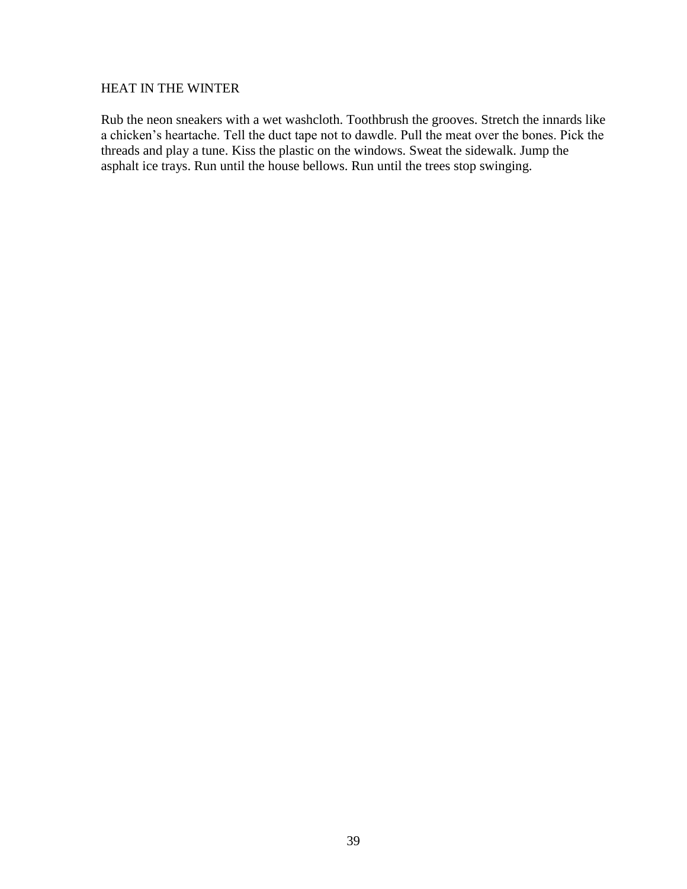#### HEAT IN THE WINTER

Rub the neon sneakers with a wet washcloth. Toothbrush the grooves. Stretch the innards like a chicken's heartache. Tell the duct tape not to dawdle. Pull the meat over the bones. Pick the threads and play a tune. Kiss the plastic on the windows. Sweat the sidewalk. Jump the asphalt ice trays. Run until the house bellows. Run until the trees stop swinging.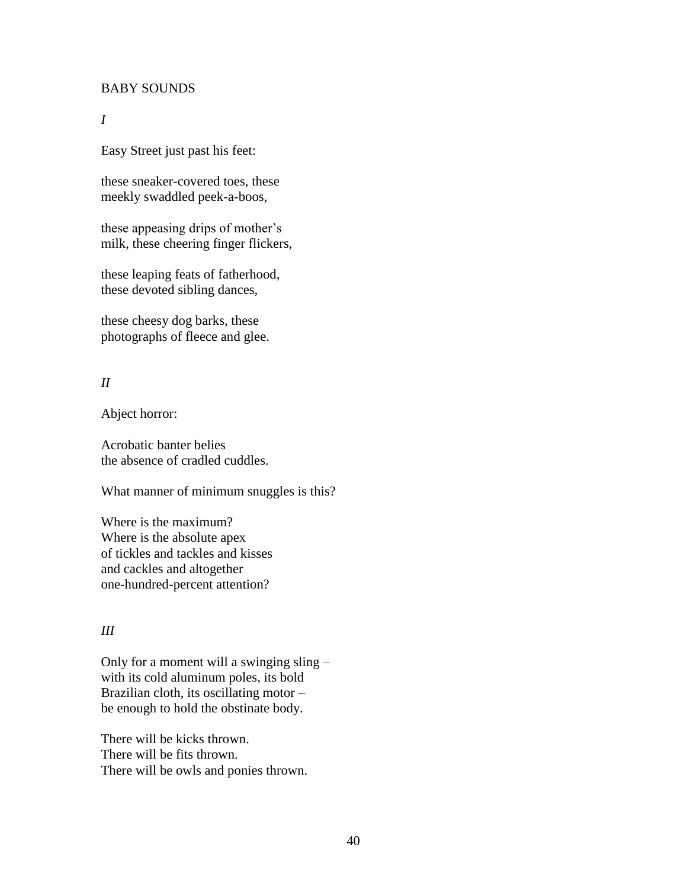#### BABY SOUNDS

#### *I*

Easy Street just past his feet:

these sneaker-covered toes, these meekly swaddled peek-a-boos,

these appeasing drips of mother's milk, these cheering finger flickers,

these leaping feats of fatherhood, these devoted sibling dances,

these cheesy dog barks, these photographs of fleece and glee.

## *II*

Abject horror:

Acrobatic banter belies the absence of cradled cuddles.

What manner of minimum snuggles is this?

Where is the maximum? Where is the absolute apex of tickles and tackles and kisses and cackles and altogether one-hundred-percent attention?

#### *III*

Only for a moment will a swinging sling – with its cold aluminum poles, its bold Brazilian cloth, its oscillating motor – be enough to hold the obstinate body.

There will be kicks thrown. There will be fits thrown. There will be owls and ponies thrown.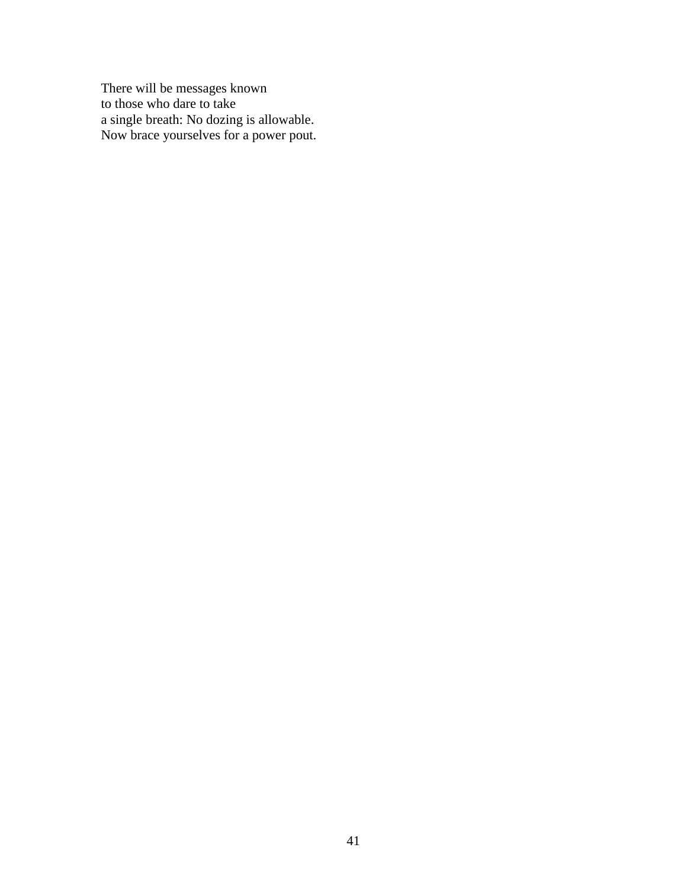There will be messages known to those who dare to take a single breath: No dozing is allowable. Now brace yourselves for a power pout.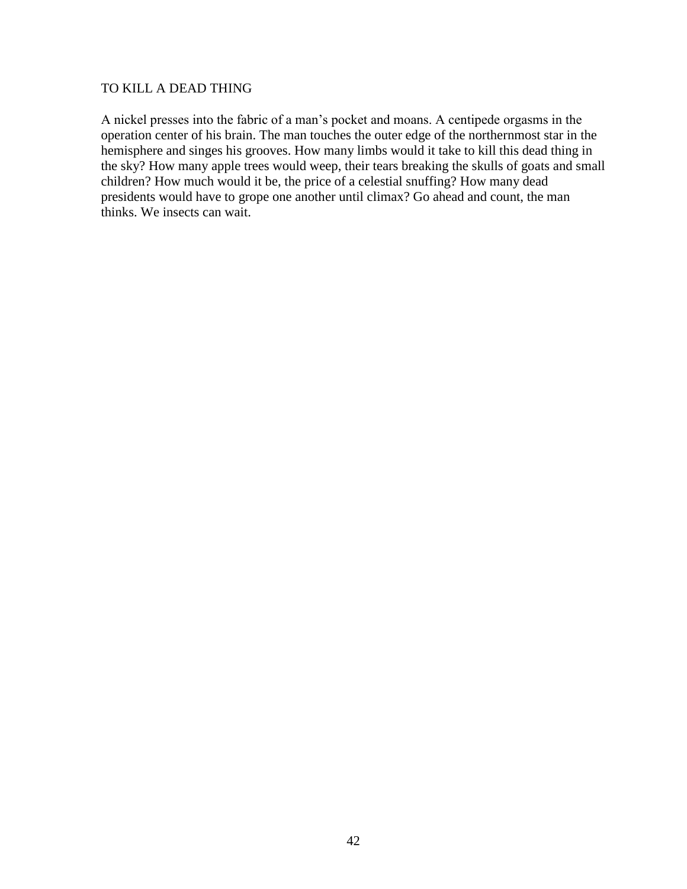#### TO KILL A DEAD THING

A nickel presses into the fabric of a man's pocket and moans. A centipede orgasms in the operation center of his brain. The man touches the outer edge of the northernmost star in the hemisphere and singes his grooves. How many limbs would it take to kill this dead thing in the sky? How many apple trees would weep, their tears breaking the skulls of goats and small children? How much would it be, the price of a celestial snuffing? How many dead presidents would have to grope one another until climax? Go ahead and count, the man thinks. We insects can wait.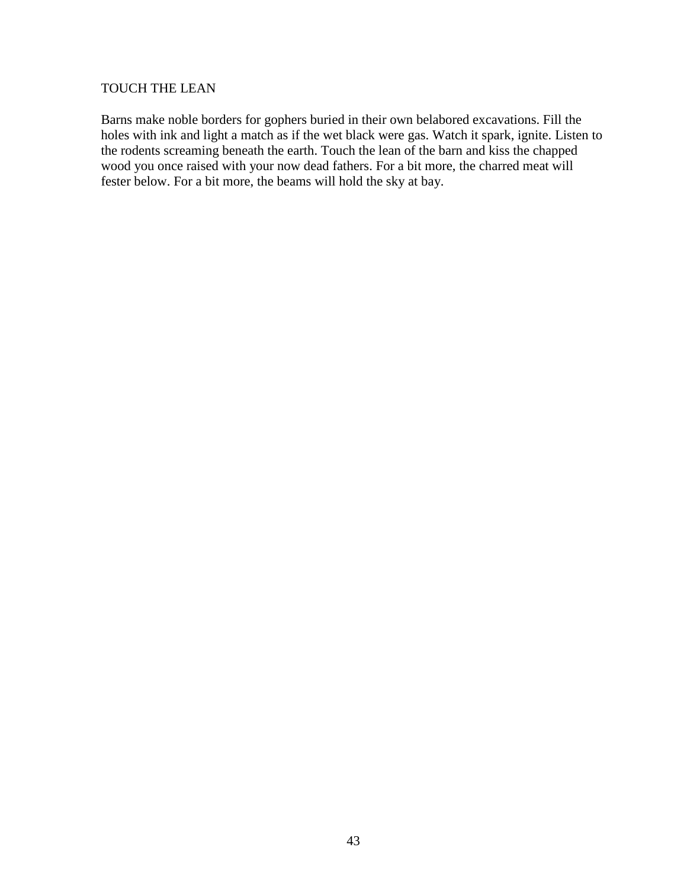### TOUCH THE LEAN

Barns make noble borders for gophers buried in their own belabored excavations. Fill the holes with ink and light a match as if the wet black were gas. Watch it spark, ignite. Listen to the rodents screaming beneath the earth. Touch the lean of the barn and kiss the chapped wood you once raised with your now dead fathers. For a bit more, the charred meat will fester below. For a bit more, the beams will hold the sky at bay.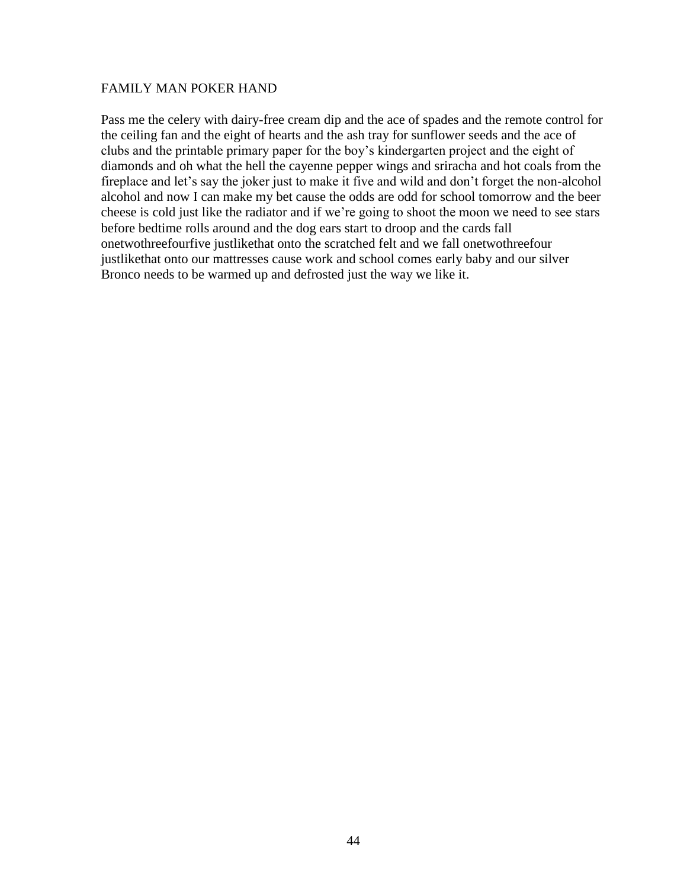#### FAMILY MAN POKER HAND

Pass me the celery with dairy-free cream dip and the ace of spades and the remote control for the ceiling fan and the eight of hearts and the ash tray for sunflower seeds and the ace of clubs and the printable primary paper for the boy's kindergarten project and the eight of diamonds and oh what the hell the cayenne pepper wings and sriracha and hot coals from the fireplace and let's say the joker just to make it five and wild and don't forget the non-alcohol alcohol and now I can make my bet cause the odds are odd for school tomorrow and the beer cheese is cold just like the radiator and if we're going to shoot the moon we need to see stars before bedtime rolls around and the dog ears start to droop and the cards fall onetwothreefourfive justlikethat onto the scratched felt and we fall onetwothreefour justlikethat onto our mattresses cause work and school comes early baby and our silver Bronco needs to be warmed up and defrosted just the way we like it.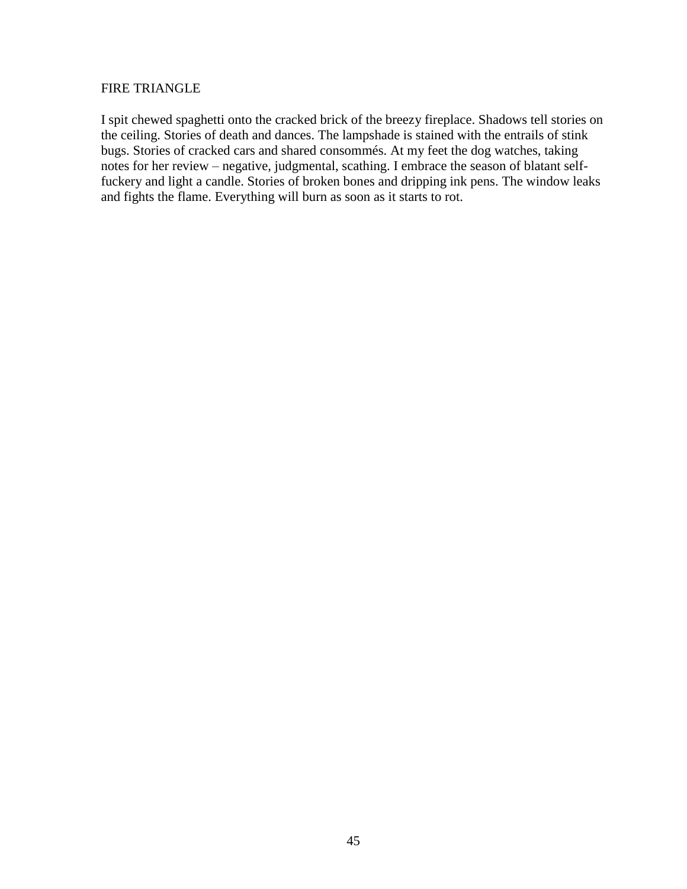#### FIRE TRIANGLE

I spit chewed spaghetti onto the cracked brick of the breezy fireplace. Shadows tell stories on the ceiling. Stories of death and dances. The lampshade is stained with the entrails of stink bugs. Stories of cracked cars and shared consommés. At my feet the dog watches, taking notes for her review – negative, judgmental, scathing. I embrace the season of blatant selffuckery and light a candle. Stories of broken bones and dripping ink pens. The window leaks and fights the flame. Everything will burn as soon as it starts to rot.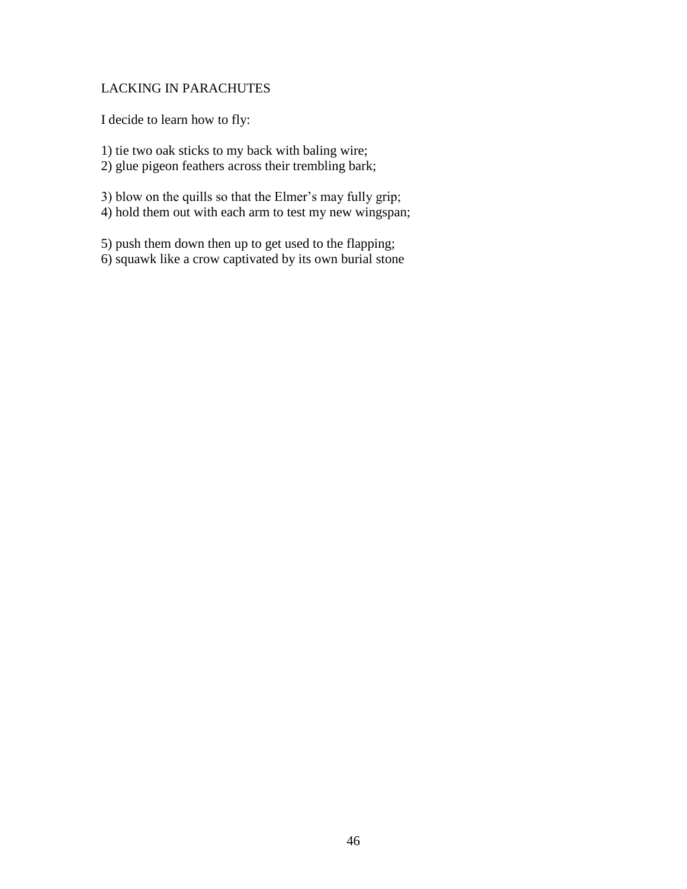## LACKING IN PARACHUTES

I decide to learn how to fly:

1) tie two oak sticks to my back with baling wire; 2) glue pigeon feathers across their trembling bark;

3) blow on the quills so that the Elmer's may fully grip; 4) hold them out with each arm to test my new wingspan;

5) push them down then up to get used to the flapping; 6) squawk like a crow captivated by its own burial stone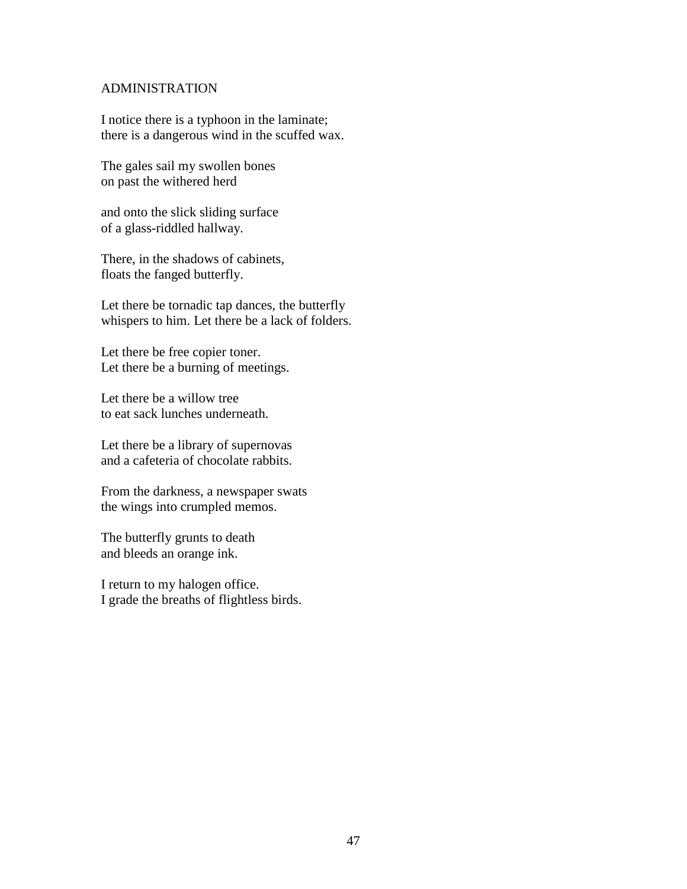#### ADMINISTRATION

I notice there is a typhoon in the laminate; there is a dangerous wind in the scuffed wax.

The gales sail my swollen bones on past the withered herd

and onto the slick sliding surface of a glass-riddled hallway.

There, in the shadows of cabinets, floats the fanged butterfly.

Let there be tornadic tap dances, the butterfly whispers to him. Let there be a lack of folders.

Let there be free copier toner. Let there be a burning of meetings.

Let there be a willow tree to eat sack lunches underneath.

Let there be a library of supernovas and a cafeteria of chocolate rabbits.

From the darkness, a newspaper swats the wings into crumpled memos.

The butterfly grunts to death and bleeds an orange ink.

I return to my halogen office. I grade the breaths of flightless birds.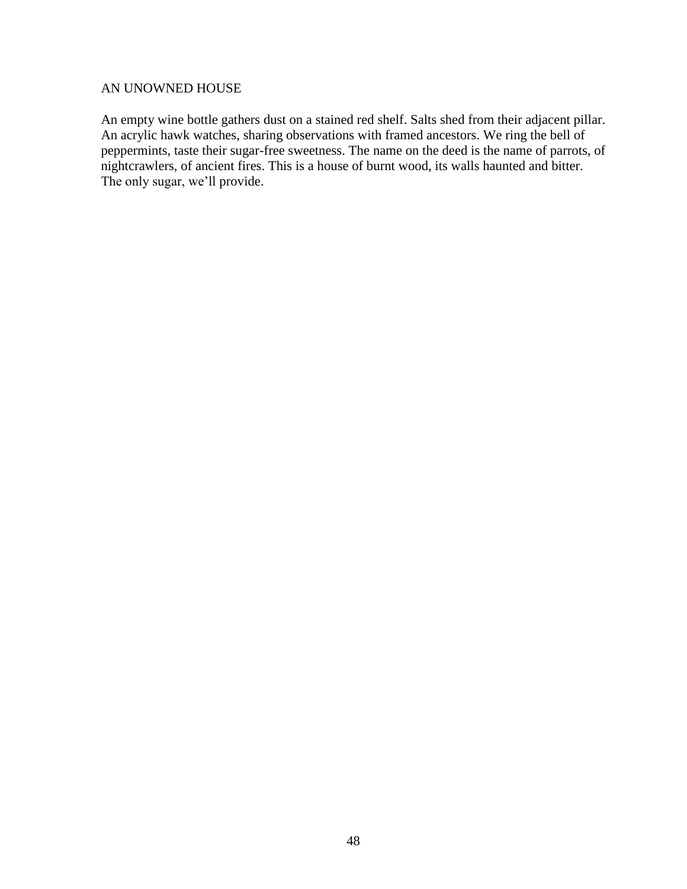#### AN UNOWNED HOUSE

An empty wine bottle gathers dust on a stained red shelf. Salts shed from their adjacent pillar. An acrylic hawk watches, sharing observations with framed ancestors. We ring the bell of peppermints, taste their sugar-free sweetness. The name on the deed is the name of parrots, of nightcrawlers, of ancient fires. This is a house of burnt wood, its walls haunted and bitter. The only sugar, we'll provide.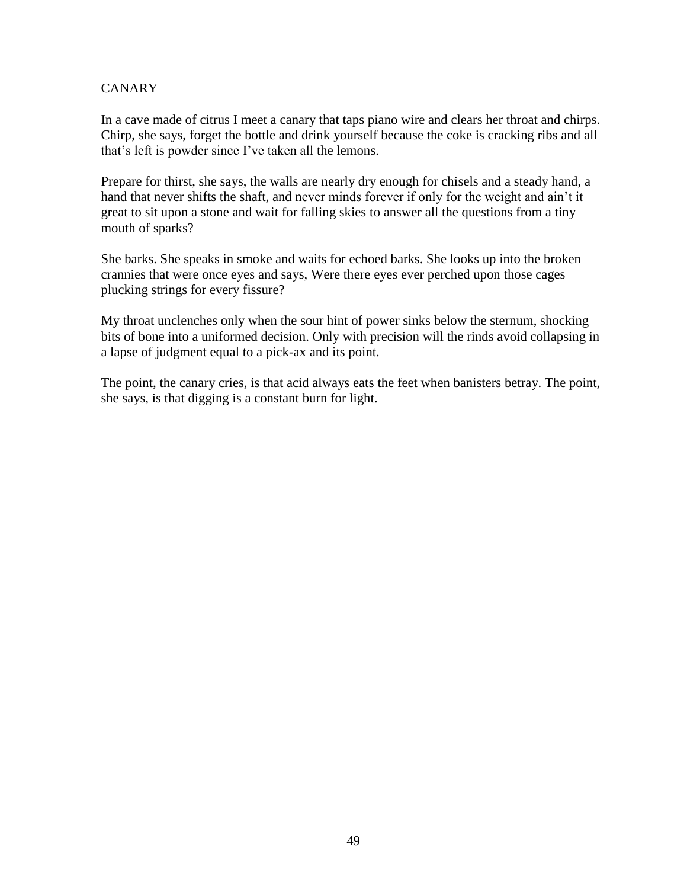## **CANARY**

In a cave made of citrus I meet a canary that taps piano wire and clears her throat and chirps. Chirp, she says, forget the bottle and drink yourself because the coke is cracking ribs and all that's left is powder since I've taken all the lemons.

Prepare for thirst, she says, the walls are nearly dry enough for chisels and a steady hand, a hand that never shifts the shaft, and never minds forever if only for the weight and ain't it great to sit upon a stone and wait for falling skies to answer all the questions from a tiny mouth of sparks?

She barks. She speaks in smoke and waits for echoed barks. She looks up into the broken crannies that were once eyes and says, Were there eyes ever perched upon those cages plucking strings for every fissure?

My throat unclenches only when the sour hint of power sinks below the sternum, shocking bits of bone into a uniformed decision. Only with precision will the rinds avoid collapsing in a lapse of judgment equal to a pick-ax and its point.

The point, the canary cries, is that acid always eats the feet when banisters betray. The point, she says, is that digging is a constant burn for light.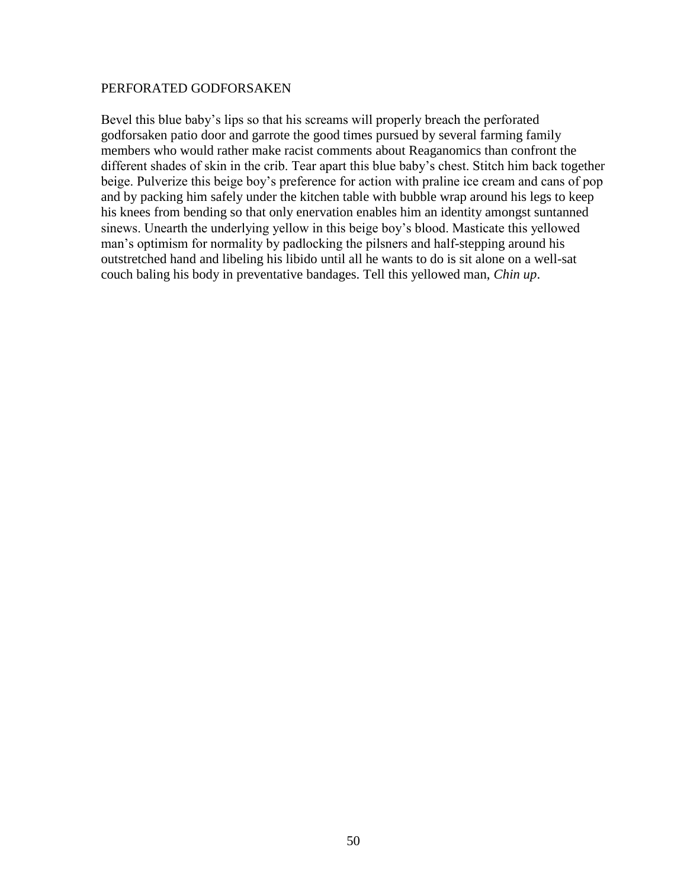#### PERFORATED GODFORSAKEN

Bevel this blue baby's lips so that his screams will properly breach the perforated godforsaken patio door and garrote the good times pursued by several farming family members who would rather make racist comments about Reaganomics than confront the different shades of skin in the crib. Tear apart this blue baby's chest. Stitch him back together beige. Pulverize this beige boy's preference for action with praline ice cream and cans of pop and by packing him safely under the kitchen table with bubble wrap around his legs to keep his knees from bending so that only enervation enables him an identity amongst suntanned sinews. Unearth the underlying yellow in this beige boy's blood. Masticate this yellowed man's optimism for normality by padlocking the pilsners and half-stepping around his outstretched hand and libeling his libido until all he wants to do is sit alone on a well-sat couch baling his body in preventative bandages. Tell this yellowed man, *Chin up*.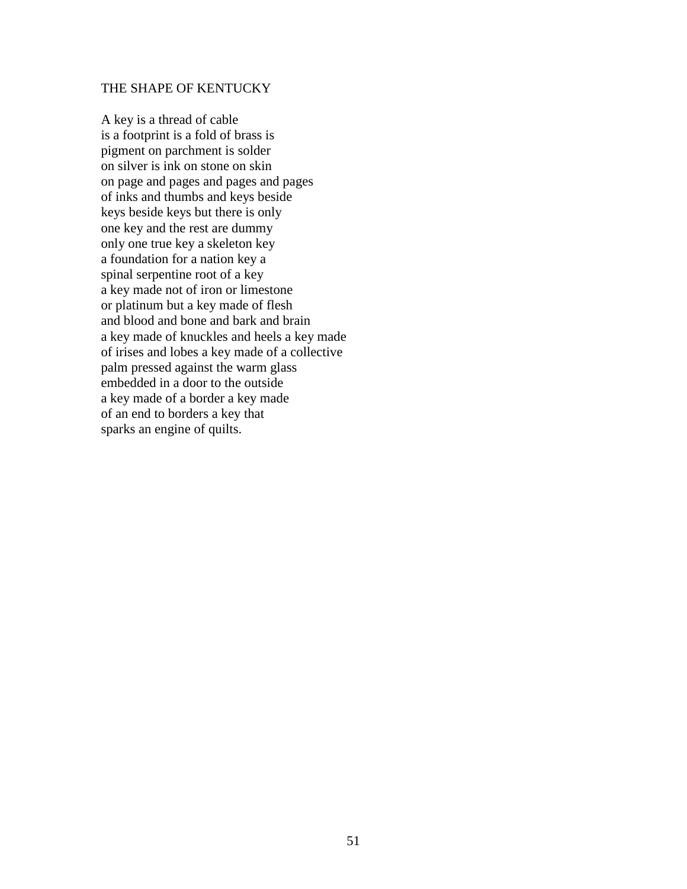#### THE SHAPE OF KENTUCKY

A key is a thread of cable is a footprint is a fold of brass is pigment on parchment is solder on silver is ink on stone on skin on page and pages and pages and pages of inks and thumbs and keys beside keys beside keys but there is only one key and the rest are dummy only one true key a skeleton key a foundation for a nation key a spinal serpentine root of a key a key made not of iron or limestone or platinum but a key made of flesh and blood and bone and bark and brain a key made of knuckles and heels a key made of irises and lobes a key made of a collective palm pressed against the warm glass embedded in a door to the outside a key made of a border a key made of an end to borders a key that sparks an engine of quilts.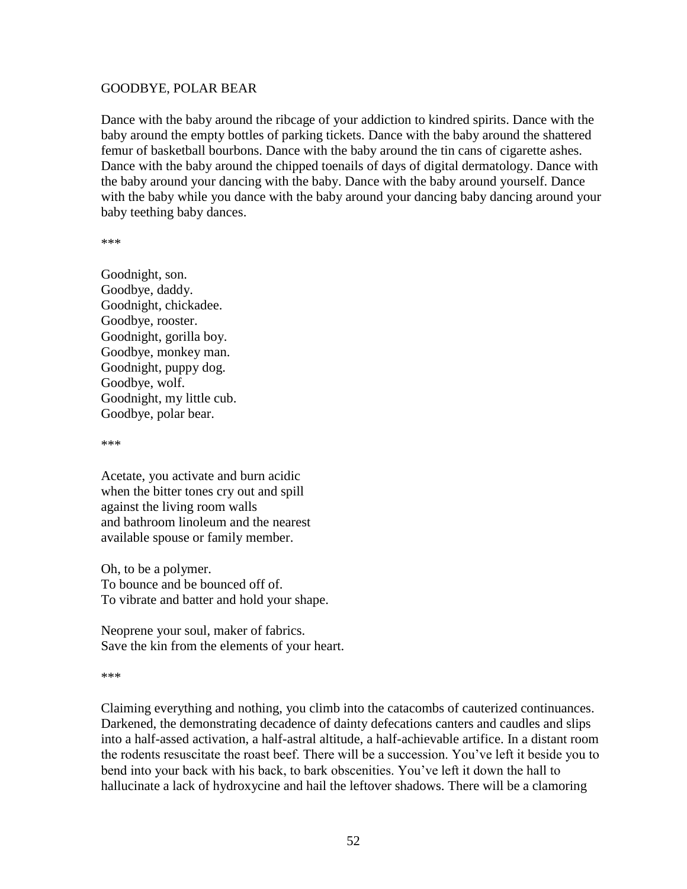#### GOODBYE, POLAR BEAR

Dance with the baby around the ribcage of your addiction to kindred spirits. Dance with the baby around the empty bottles of parking tickets. Dance with the baby around the shattered femur of basketball bourbons. Dance with the baby around the tin cans of cigarette ashes. Dance with the baby around the chipped toenails of days of digital dermatology. Dance with the baby around your dancing with the baby. Dance with the baby around yourself. Dance with the baby while you dance with the baby around your dancing baby dancing around your baby teething baby dances.

\*\*\*

Goodnight, son. Goodbye, daddy. Goodnight, chickadee. Goodbye, rooster. Goodnight, gorilla boy. Goodbye, monkey man. Goodnight, puppy dog. Goodbye, wolf. Goodnight, my little cub. Goodbye, polar bear.

\*\*\*

Acetate, you activate and burn acidic when the bitter tones cry out and spill against the living room walls and bathroom linoleum and the nearest available spouse or family member.

Oh, to be a polymer. To bounce and be bounced off of. To vibrate and batter and hold your shape.

Neoprene your soul, maker of fabrics. Save the kin from the elements of your heart.

\*\*\*

Claiming everything and nothing, you climb into the catacombs of cauterized continuances. Darkened, the demonstrating decadence of dainty defecations canters and caudles and slips into a half-assed activation, a half-astral altitude, a half-achievable artifice. In a distant room the rodents resuscitate the roast beef. There will be a succession. You've left it beside you to bend into your back with his back, to bark obscenities. You've left it down the hall to hallucinate a lack of hydroxycine and hail the leftover shadows. There will be a clamoring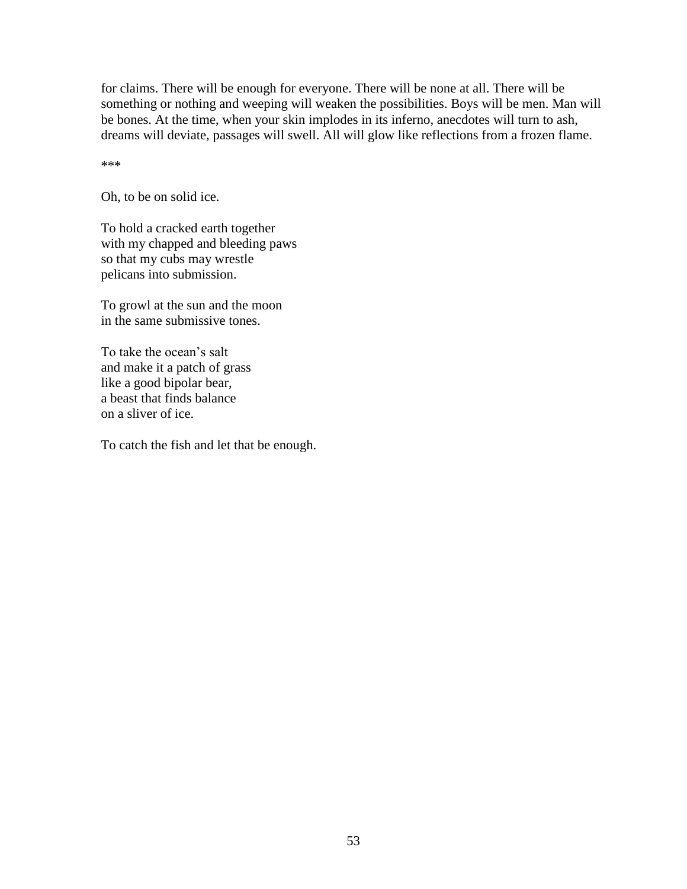for claims. There will be enough for everyone. There will be none at all. There will be something or nothing and weeping will weaken the possibilities. Boys will be men. Man will be bones. At the time, when your skin implodes in its inferno, anecdotes will turn to ash, dreams will deviate, passages will swell. All will glow like reflections from a frozen flame.

\*\*\*

Oh, to be on solid ice.

To hold a cracked earth together with my chapped and bleeding paws so that my cubs may wrestle pelicans into submission.

To growl at the sun and the moon in the same submissive tones.

To take the ocean's salt and make it a patch of grass like a good bipolar bear, a beast that finds balance on a sliver of ice.

To catch the fish and let that be enough.